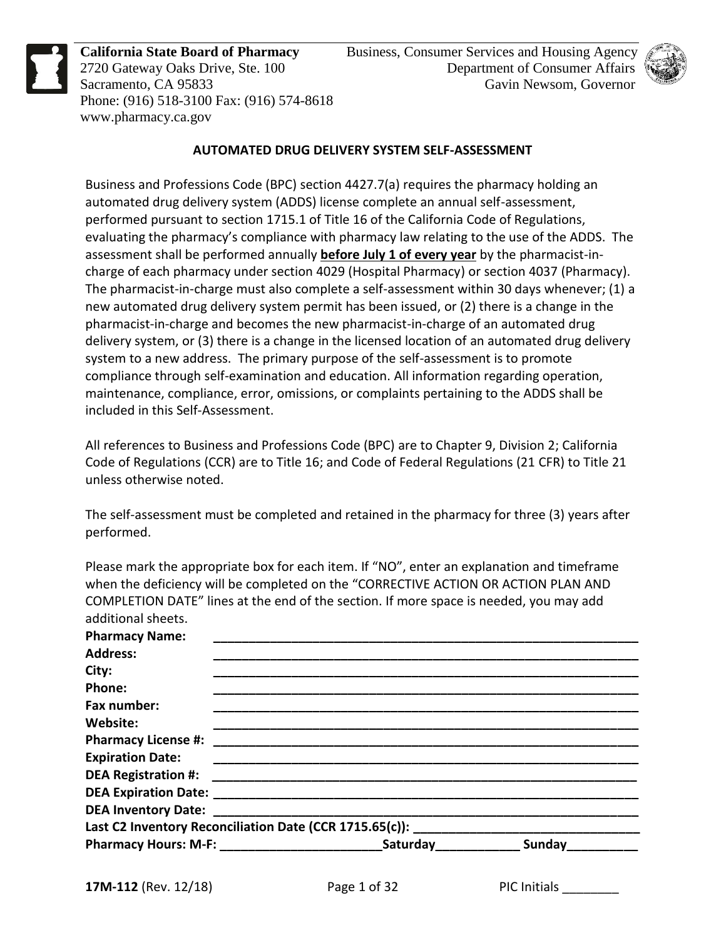

**California State Board of Pharmacy** 2720 Gateway Oaks Drive, Ste. 100 Sacramento, CA 95833 Phone: (916) 518-3100 Fax: (916) 574-8618 www.pharmacy.ca.gov



### **AUTOMATED DRUG DELIVERY SYSTEM SELF-ASSESSMENT**

Business and Professions Code (BPC) section 4427.7(a) requires the pharmacy holding an automated drug delivery system (ADDS) license complete an annual self-assessment, performed pursuant to section 1715.1 of Title 16 of the California Code of Regulations, evaluating the pharmacy's compliance with pharmacy law relating to the use of the ADDS. The assessment shall be performed annually **before July 1 of every year** by the pharmacist-incharge of each pharmacy under section 4029 (Hospital Pharmacy) or section 4037 (Pharmacy). The pharmacist-in-charge must also complete a self-assessment within 30 days whenever; (1) a new automated drug delivery system permit has been issued, or (2) there is a change in the pharmacist-in-charge and becomes the new pharmacist-in-charge of an automated drug delivery system, or (3) there is a change in the licensed location of an automated drug delivery system to a new address. The primary purpose of the self-assessment is to promote compliance through self-examination and education. All information regarding operation, maintenance, compliance, error, omissions, or complaints pertaining to the ADDS shall be included in this Self-Assessment.

All references to Business and Professions Code (BPC) are to Chapter 9, Division 2; California Code of Regulations (CCR) are to Title 16; and Code of Federal Regulations (21 CFR) to Title 21 unless otherwise noted.

The self-assessment must be completed and retained in the pharmacy for three (3) years after performed.

Please mark the appropriate box for each item. If "NO", enter an explanation and timeframe when the deficiency will be completed on the "CORRECTIVE ACTION OR ACTION PLAN AND COMPLETION DATE" lines at the end of the section. If more space is needed, you may add additional sheets.

| <b>Pharmacy Name:</b>   |                                                                                                     |  |
|-------------------------|-----------------------------------------------------------------------------------------------------|--|
| <b>Address:</b>         |                                                                                                     |  |
| City:                   |                                                                                                     |  |
| Phone:                  |                                                                                                     |  |
| Fax number:             |                                                                                                     |  |
| Website:                |                                                                                                     |  |
|                         |                                                                                                     |  |
| <b>Expiration Date:</b> |                                                                                                     |  |
|                         |                                                                                                     |  |
|                         |                                                                                                     |  |
|                         |                                                                                                     |  |
|                         |                                                                                                     |  |
|                         | Pharmacy Hours: M-F: ________________________________Saturday__________________Sunday______________ |  |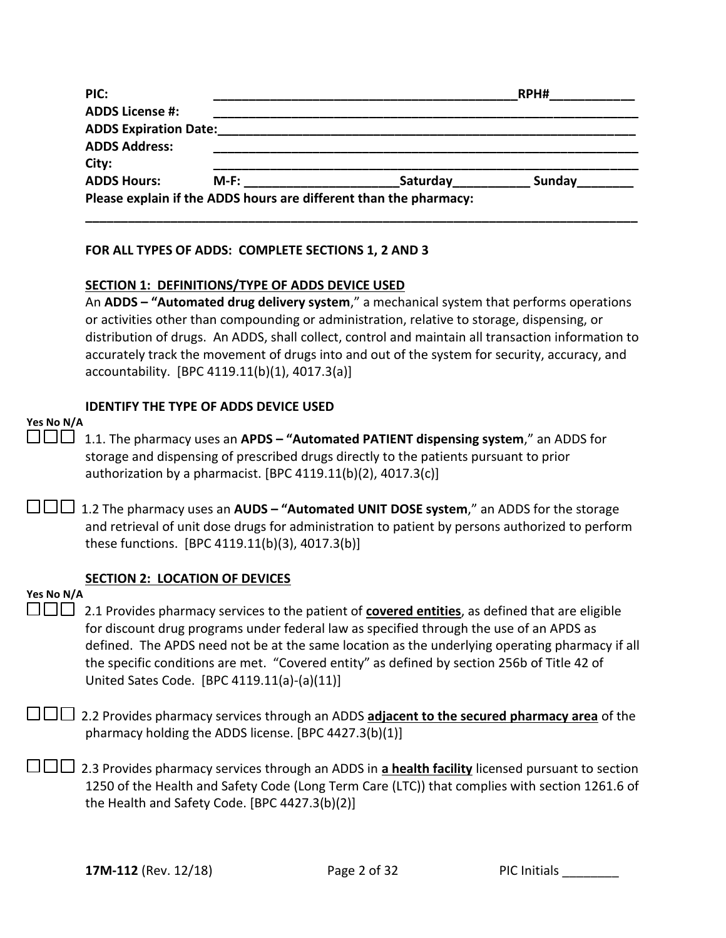| PIC:                         |         |                                                                   | RPH#   |  |
|------------------------------|---------|-------------------------------------------------------------------|--------|--|
| <b>ADDS License #:</b>       |         |                                                                   |        |  |
| <b>ADDS Expiration Date:</b> |         |                                                                   |        |  |
| <b>ADDS Address:</b>         |         |                                                                   |        |  |
| City:                        |         |                                                                   |        |  |
| <b>ADDS Hours:</b>           | $M-F$ : | Saturday                                                          | Sunday |  |
|                              |         | Please explain if the ADDS hours are different than the pharmacy: |        |  |

### **FOR ALL TYPES OF ADDS: COMPLETE SECTIONS 1, 2 AND 3**

#### **SECTION 1: DEFINITIONS/TYPE OF ADDS DEVICE USED**

An **ADDS – "Automated drug delivery system**," a mechanical system that performs operations or activities other than compounding or administration, relative to storage, dispensing, or distribution of drugs. An ADDS, shall collect, control and maintain all transaction information to accurately track the movement of drugs into and out of the system for security, accuracy, and accountability. [BPC 4119.11(b)(1), 4017.3(a)]

### **IDENTIFY THE TYPE OF ADDS DEVICE USED**

| Yes No N/A |     |  |
|------------|-----|--|
|            | ___ |  |

 1.1. The pharmacy uses an **APDS – "Automated PATIENT dispensing system**," an ADDS for storage and dispensing of prescribed drugs directly to the patients pursuant to prior authorization by a pharmacist. [BPC  $4119.11(b)(2)$ ,  $4017.3(c)$ ]

 1.2 The pharmacy uses an **AUDS – "Automated UNIT DOSE system**," an ADDS for the storage and retrieval of unit dose drugs for administration to patient by persons authorized to perform these functions. [BPC 4119.11(b)(3), 4017.3(b)]

### **SECTION 2: LOCATION OF DEVICES**

#### **Yes No N/A**

□□□ 2.1 Provides pharmacy services to the patient of **covered entities**, as defined that are eligible for discount drug programs under federal law as specified through the use of an APDS as defined. The APDS need not be at the same location as the underlying operating pharmacy if all the specific conditions are met. "Covered entity" as defined by section 256b of Title 42 of United Sates Code. [BPC 4119.11(a)-(a)(11)]

□□□ 2.2 Provides pharmacy services through an ADDS **adjacent to the secured pharmacy area** of the pharmacy holding the ADDS license. [BPC 4427.3(b)(1)]

2.3 Provides pharmacy services through an ADDS in **a health facility** licensed pursuant to section 1250 of the Health and Safety Code (Long Term Care (LTC)) that complies with section 1261.6 of the Health and Safety Code. [BPC 4427.3(b)(2)]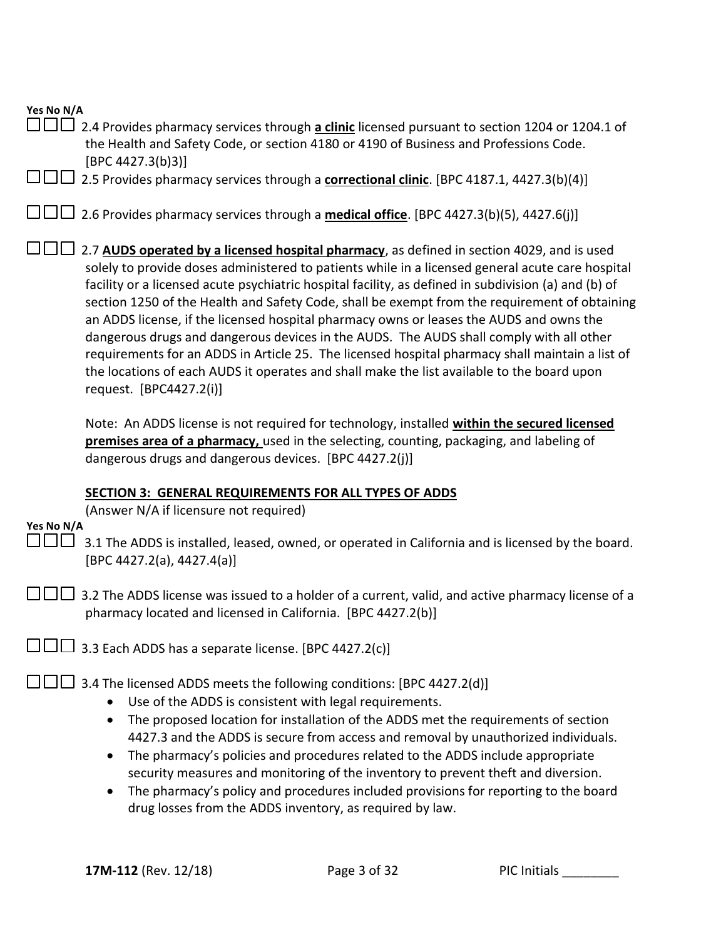| Yes No N/A |                                                                                                                                                                                                                                                                                                                                                                                                                                                                                                                                                                                                                                                                                                                                                                                                                           |
|------------|---------------------------------------------------------------------------------------------------------------------------------------------------------------------------------------------------------------------------------------------------------------------------------------------------------------------------------------------------------------------------------------------------------------------------------------------------------------------------------------------------------------------------------------------------------------------------------------------------------------------------------------------------------------------------------------------------------------------------------------------------------------------------------------------------------------------------|
|            | 2.4 Provides pharmacy services through a clinic licensed pursuant to section 1204 or 1204.1 of<br>the Health and Safety Code, or section 4180 or 4190 of Business and Professions Code.<br>[BPC 4427.3(b)3]                                                                                                                                                                                                                                                                                                                                                                                                                                                                                                                                                                                                               |
|            | 2.5 Provides pharmacy services through a correctional clinic. [BPC 4187.1, 4427.3(b)(4)]                                                                                                                                                                                                                                                                                                                                                                                                                                                                                                                                                                                                                                                                                                                                  |
|            | $\perp$ 2.6 Provides pharmacy services through a <b>medical office</b> . [BPC 4427.3(b)(5), 4427.6(j)]                                                                                                                                                                                                                                                                                                                                                                                                                                                                                                                                                                                                                                                                                                                    |
|            | 2.7 AUDS operated by a licensed hospital pharmacy, as defined in section 4029, and is used<br>solely to provide doses administered to patients while in a licensed general acute care hospital<br>facility or a licensed acute psychiatric hospital facility, as defined in subdivision (a) and (b) of<br>section 1250 of the Health and Safety Code, shall be exempt from the requirement of obtaining<br>an ADDS license, if the licensed hospital pharmacy owns or leases the AUDS and owns the<br>dangerous drugs and dangerous devices in the AUDS. The AUDS shall comply with all other<br>requirements for an ADDS in Article 25. The licensed hospital pharmacy shall maintain a list of<br>the locations of each AUDS it operates and shall make the list available to the board upon<br>request. [BPC4427.2(i)] |
|            | Note: An ADDS license is not required for technology, installed within the secured licensed<br>premises area of a pharmacy, used in the selecting, counting, packaging, and labeling of<br>dangerous drugs and dangerous devices. [BPC 4427.2(j)]                                                                                                                                                                                                                                                                                                                                                                                                                                                                                                                                                                         |
|            |                                                                                                                                                                                                                                                                                                                                                                                                                                                                                                                                                                                                                                                                                                                                                                                                                           |
|            | SECTION 3: GENERAL REQUIREMENTS FOR ALL TYPES OF ADDS<br>(Answer N/A if licensure not required)                                                                                                                                                                                                                                                                                                                                                                                                                                                                                                                                                                                                                                                                                                                           |
| Yes No N/A | 3.1 The ADDS is installed, leased, owned, or operated in California and is licensed by the board.<br>[BPC 4427.2(a), 4427.4(a)]                                                                                                                                                                                                                                                                                                                                                                                                                                                                                                                                                                                                                                                                                           |
|            | 3.2 The ADDS license was issued to a holder of a current, valid, and active pharmacy license of a<br>pharmacy located and licensed in California. [BPC 4427.2(b)]                                                                                                                                                                                                                                                                                                                                                                                                                                                                                                                                                                                                                                                         |
|            | $\perp$ 3.3 Each ADDS has a separate license. [BPC 4427.2(c)]                                                                                                                                                                                                                                                                                                                                                                                                                                                                                                                                                                                                                                                                                                                                                             |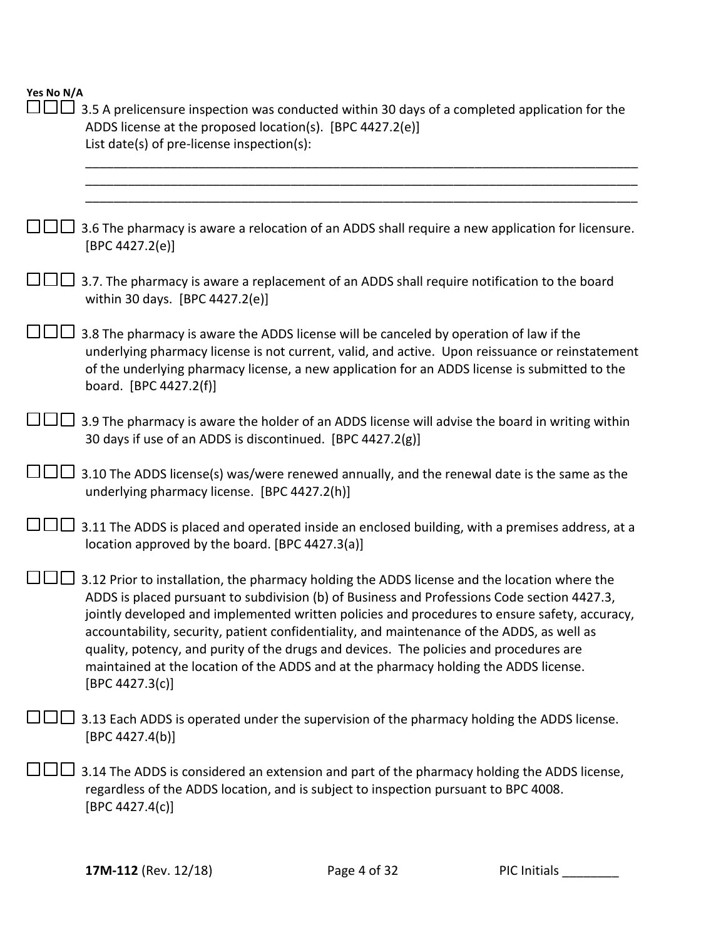| 3.5 A prelicensure inspection was conducted within 30 days of a completed application for the<br>ADDS license at the proposed location(s). [BPC 4427.2(e)]<br>List date(s) of pre-license inspection(s):                                                                                                                                                                                                                                                                                                                                                                                        |
|-------------------------------------------------------------------------------------------------------------------------------------------------------------------------------------------------------------------------------------------------------------------------------------------------------------------------------------------------------------------------------------------------------------------------------------------------------------------------------------------------------------------------------------------------------------------------------------------------|
|                                                                                                                                                                                                                                                                                                                                                                                                                                                                                                                                                                                                 |
| 3.6 The pharmacy is aware a relocation of an ADDS shall require a new application for licensure.<br>[BPC 4427.2(e)]                                                                                                                                                                                                                                                                                                                                                                                                                                                                             |
| 3.7. The pharmacy is aware a replacement of an ADDS shall require notification to the board<br>within 30 days. [BPC 4427.2(e)]                                                                                                                                                                                                                                                                                                                                                                                                                                                                  |
| 3.8 The pharmacy is aware the ADDS license will be canceled by operation of law if the<br>underlying pharmacy license is not current, valid, and active. Upon reissuance or reinstatement<br>of the underlying pharmacy license, a new application for an ADDS license is submitted to the<br>board. [BPC 4427.2(f)]                                                                                                                                                                                                                                                                            |
| 3.9 The pharmacy is aware the holder of an ADDS license will advise the board in writing within<br>30 days if use of an ADDS is discontinued. [BPC 4427.2(g)]                                                                                                                                                                                                                                                                                                                                                                                                                                   |
| 3.10 The ADDS license(s) was/were renewed annually, and the renewal date is the same as the<br>underlying pharmacy license. [BPC 4427.2(h)]                                                                                                                                                                                                                                                                                                                                                                                                                                                     |
| 3.11 The ADDS is placed and operated inside an enclosed building, with a premises address, at a<br>location approved by the board. [BPC 4427.3(a)]                                                                                                                                                                                                                                                                                                                                                                                                                                              |
| 3.12 Prior to installation, the pharmacy holding the ADDS license and the location where the<br>ADDS is placed pursuant to subdivision (b) of Business and Professions Code section 4427.3,<br>jointly developed and implemented written policies and procedures to ensure safety, accuracy,<br>accountability, security, patient confidentiality, and maintenance of the ADDS, as well as<br>quality, potency, and purity of the drugs and devices. The policies and procedures are<br>maintained at the location of the ADDS and at the pharmacy holding the ADDS license.<br>[BPC 4427.3(c)] |
| 3.13 Each ADDS is operated under the supervision of the pharmacy holding the ADDS license.<br>[BPC 4427.4(b)]                                                                                                                                                                                                                                                                                                                                                                                                                                                                                   |
| 3.14 The ADDS is considered an extension and part of the pharmacy holding the ADDS license,<br>regardless of the ADDS location, and is subject to inspection pursuant to BPC 4008.<br>[BPC 4427.4(c)]                                                                                                                                                                                                                                                                                                                                                                                           |
|                                                                                                                                                                                                                                                                                                                                                                                                                                                                                                                                                                                                 |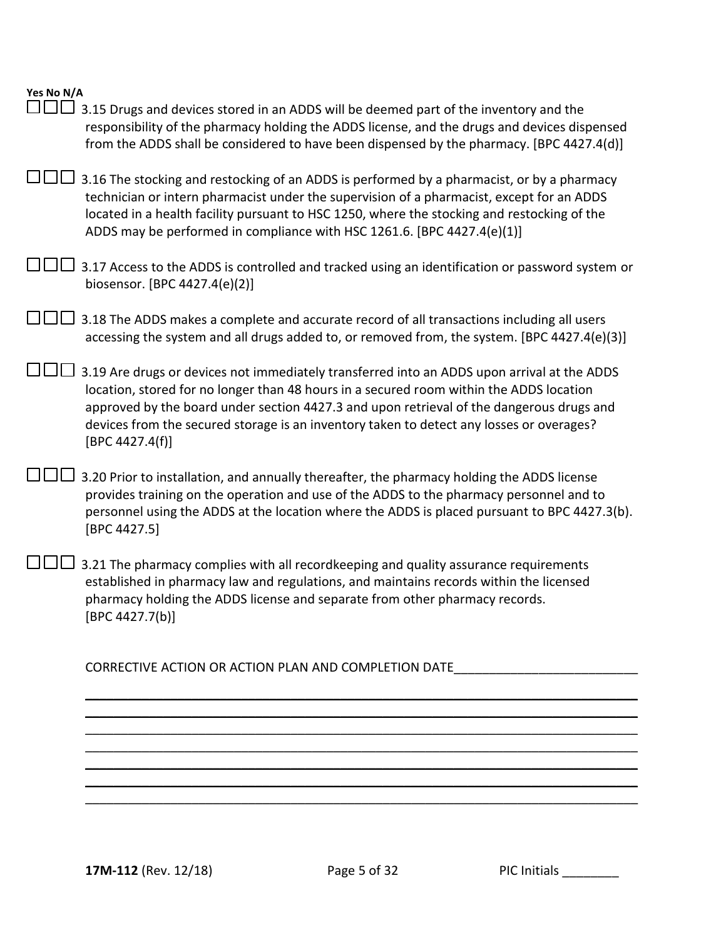|  | Yes No N/A |
|--|------------|
|  |            |

| $\Box$ $\Box$ 3.15 Drugs and devices stored in an ADDS will be deemed part of the inventory and the<br>responsibility of the pharmacy holding the ADDS license, and the drugs and devices dispensed<br>from the ADDS shall be considered to have been dispensed by the pharmacy. [BPC 4427.4(d)]                                                                                                  |
|---------------------------------------------------------------------------------------------------------------------------------------------------------------------------------------------------------------------------------------------------------------------------------------------------------------------------------------------------------------------------------------------------|
| J□□ 3.16 The stocking and restocking of an ADDS is performed by a pharmacist, or by a pharmacy<br>technician or intern pharmacist under the supervision of a pharmacist, except for an ADDS<br>located in a health facility pursuant to HSC 1250, where the stocking and restocking of the<br>ADDS may be performed in compliance with HSC 1261.6. [BPC 4427.4(e)(1)]                             |
| 3.17 Access to the ADDS is controlled and tracked using an identification or password system or<br>biosensor. [BPC 4427.4(e)(2)]                                                                                                                                                                                                                                                                  |
| 3.18 The ADDS makes a complete and accurate record of all transactions including all users<br>accessing the system and all drugs added to, or removed from, the system. [BPC 4427.4(e)(3)]                                                                                                                                                                                                        |
| 3.19 Are drugs or devices not immediately transferred into an ADDS upon arrival at the ADDS<br>location, stored for no longer than 48 hours in a secured room within the ADDS location<br>approved by the board under section 4427.3 and upon retrieval of the dangerous drugs and<br>devices from the secured storage is an inventory taken to detect any losses or overages?<br>[BPC 4427.4(f)] |
| 3.20 Prior to installation, and annually thereafter, the pharmacy holding the ADDS license<br>provides training on the operation and use of the ADDS to the pharmacy personnel and to<br>personnel using the ADDS at the location where the ADDS is placed pursuant to BPC 4427.3(b).<br>[BPC 4427.5]                                                                                             |
| 3.21 The pharmacy complies with all recordkeeping and quality assurance requirements<br>established in pharmacy law and regulations, and maintains records within the licensed<br>pharmacy holding the ADDS license and separate from other pharmacy records.<br>[BPC 4427.7(b)]                                                                                                                  |
| CORRECTIVE ACTION OR ACTION PLAN AND COMPLETION DATE                                                                                                                                                                                                                                                                                                                                              |
|                                                                                                                                                                                                                                                                                                                                                                                                   |
|                                                                                                                                                                                                                                                                                                                                                                                                   |
|                                                                                                                                                                                                                                                                                                                                                                                                   |
|                                                                                                                                                                                                                                                                                                                                                                                                   |
|                                                                                                                                                                                                                                                                                                                                                                                                   |
|                                                                                                                                                                                                                                                                                                                                                                                                   |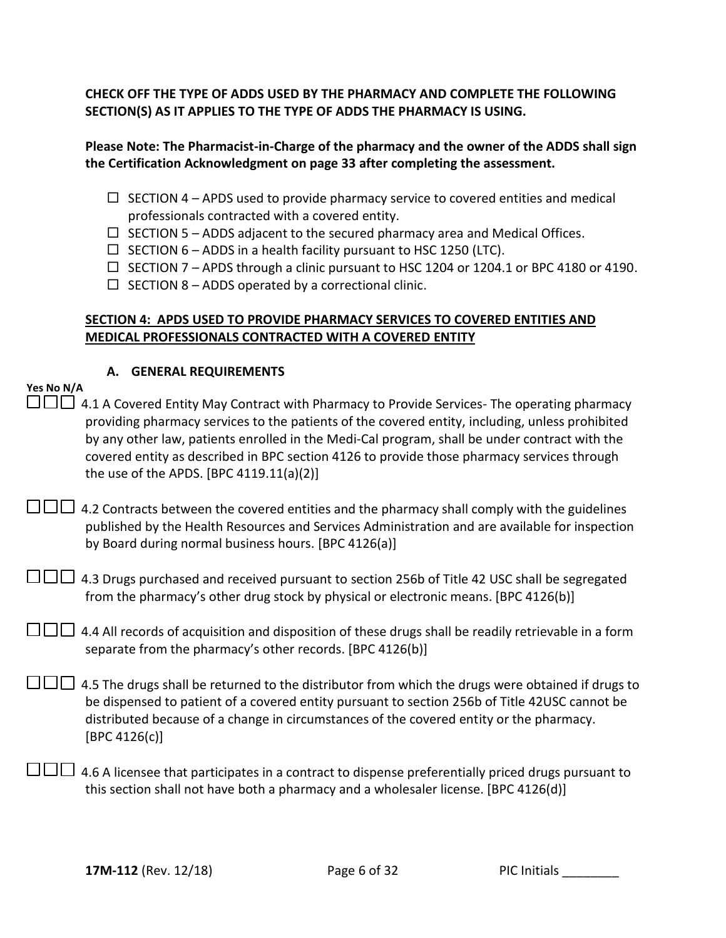**CHECK OFF THE TYPE OF ADDS USED BY THE PHARMACY AND COMPLETE THE FOLLOWING SECTION(S) AS IT APPLIES TO THE TYPE OF ADDS THE PHARMACY IS USING.** 

### **Please Note: The Pharmacist-in-Charge of the pharmacy and the owner of the ADDS shall sign the Certification Acknowledgment on page 33 after completing the assessment.**

- $\Box$  SECTION 4 APDS used to provide pharmacy service to covered entities and medical professionals contracted with a covered entity.
- $\Box$  SECTION 5 ADDS adjacent to the secured pharmacy area and Medical Offices.
- $\Box$  SECTION 6 ADDS in a health facility pursuant to HSC 1250 (LTC).
- $\Box$  SECTION 7 APDS through a clinic pursuant to HSC 1204 or 1204.1 or BPC 4180 or 4190.
- $\Box$  SECTION 8 ADDS operated by a correctional clinic.

### **SECTION 4: APDS USED TO PROVIDE PHARMACY SERVICES TO COVERED ENTITIES AND MEDICAL PROFESSIONALS CONTRACTED WITH A COVERED ENTITY**

| А. |  | <b>GENERAL REQUIREMENTS</b> |
|----|--|-----------------------------|
|----|--|-----------------------------|

| Yes No N/A |                                                                                                           |
|------------|-----------------------------------------------------------------------------------------------------------|
|            | $\Box$ $\Box$ 4.1 A Covered Entity May Contract with Pharmacy to Provide Services- The operating pharmacy |
|            | providing pharmacy services to the patients of the covered entity, including, unless prohibited           |
|            | by any other law, patients enrolled in the Medi-Cal program, shall be under contract with the             |
|            | covered entity as described in BPC section 4126 to provide those pharmacy services through                |
|            | the use of the APDS. [BPC $4119.11(a)(2)$ ]                                                               |

 $\square \square \square$  4.2 Contracts between the covered entities and the pharmacy shall comply with the guidelines published by the Health Resources and Services Administration and are available for inspection by Board during normal business hours. [BPC 4126(a)]

| $\Box$ $\Box$ 4.3 Drugs purchased and received pursuant to section 256b of Title 42 USC shall be segregated |
|-------------------------------------------------------------------------------------------------------------|
| from the pharmacy's other drug stock by physical or electronic means. [BPC 4126(b)]                         |

| $\Box$ $\Box$ 4.4 All records of acquisition and disposition of these drugs shall be readily retrievable in a form |
|--------------------------------------------------------------------------------------------------------------------|
| separate from the pharmacy's other records. [BPC 4126(b)]                                                          |

| $\Box$ $\Box$ 4.5 The drugs shall be returned to the distributor from which the drugs were obtained if drugs to |
|-----------------------------------------------------------------------------------------------------------------|
| be dispensed to patient of a covered entity pursuant to section 256b of Title 42USC cannot be                   |
| distributed because of a change in circumstances of the covered entity or the pharmacy.                         |
| [BPC 4126(c)]                                                                                                   |

 $\square \square \square$  4.6 A licensee that participates in a contract to dispense preferentially priced drugs pursuant to this section shall not have both a pharmacy and a wholesaler license. [BPC 4126(d)]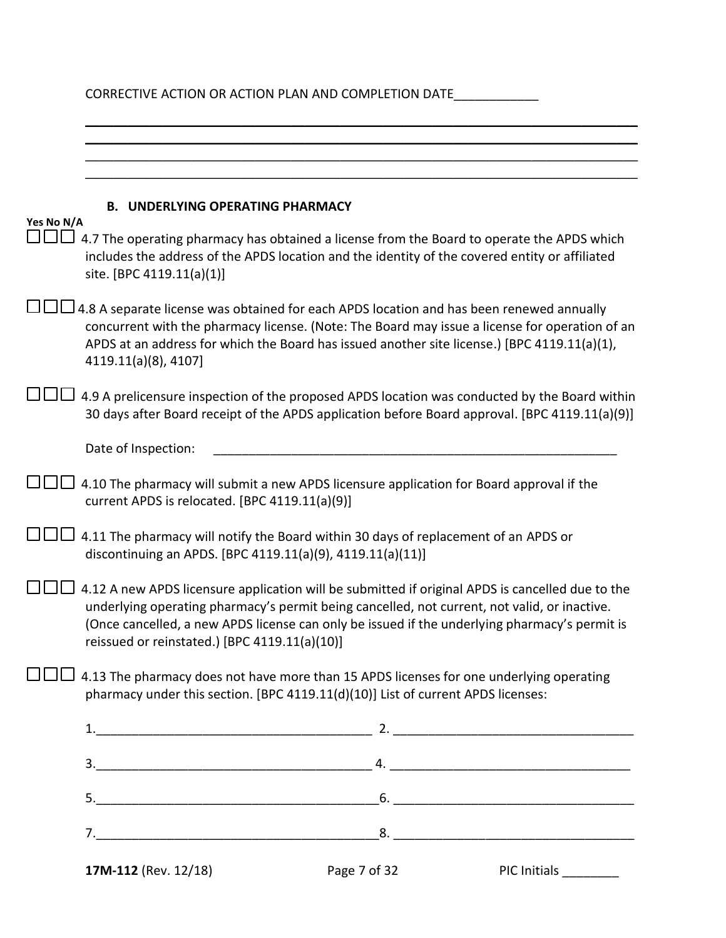| <b>B. UNDERLYING OPERATING PHARMACY</b>                                                                                                           |                                                                                                                                                                                                                                                                                                                                                                                                                                                                                                                                                                                                                                                                                                                                                                                                               |
|---------------------------------------------------------------------------------------------------------------------------------------------------|---------------------------------------------------------------------------------------------------------------------------------------------------------------------------------------------------------------------------------------------------------------------------------------------------------------------------------------------------------------------------------------------------------------------------------------------------------------------------------------------------------------------------------------------------------------------------------------------------------------------------------------------------------------------------------------------------------------------------------------------------------------------------------------------------------------|
| 4.7 The operating pharmacy has obtained a license from the Board to operate the APDS which<br>site. [BPC 4119.11(a)(1)]                           |                                                                                                                                                                                                                                                                                                                                                                                                                                                                                                                                                                                                                                                                                                                                                                                                               |
| 4.8 A separate license was obtained for each APDS location and has been renewed annually<br>4119.11(a)(8), 4107]                                  |                                                                                                                                                                                                                                                                                                                                                                                                                                                                                                                                                                                                                                                                                                                                                                                                               |
| 4.9 A prelicensure inspection of the proposed APDS location was conducted by the Board within                                                     |                                                                                                                                                                                                                                                                                                                                                                                                                                                                                                                                                                                                                                                                                                                                                                                                               |
| Date of Inspection:                                                                                                                               |                                                                                                                                                                                                                                                                                                                                                                                                                                                                                                                                                                                                                                                                                                                                                                                                               |
| 4.10 The pharmacy will submit a new APDS licensure application for Board approval if the<br>current APDS is relocated. [BPC 4119.11(a)(9)]        |                                                                                                                                                                                                                                                                                                                                                                                                                                                                                                                                                                                                                                                                                                                                                                                                               |
| 4.11 The pharmacy will notify the Board within 30 days of replacement of an APDS or                                                               |                                                                                                                                                                                                                                                                                                                                                                                                                                                                                                                                                                                                                                                                                                                                                                                                               |
| 4.12 A new APDS licensure application will be submitted if original APDS is cancelled due to the<br>reissued or reinstated.) [BPC 4119.11(a)(10)] |                                                                                                                                                                                                                                                                                                                                                                                                                                                                                                                                                                                                                                                                                                                                                                                                               |
| 4.13 The pharmacy does not have more than 15 APDS licenses for one underlying operating                                                           |                                                                                                                                                                                                                                                                                                                                                                                                                                                                                                                                                                                                                                                                                                                                                                                                               |
|                                                                                                                                                   |                                                                                                                                                                                                                                                                                                                                                                                                                                                                                                                                                                                                                                                                                                                                                                                                               |
|                                                                                                                                                   |                                                                                                                                                                                                                                                                                                                                                                                                                                                                                                                                                                                                                                                                                                                                                                                                               |
|                                                                                                                                                   |                                                                                                                                                                                                                                                                                                                                                                                                                                                                                                                                                                                                                                                                                                                                                                                                               |
|                                                                                                                                                   |                                                                                                                                                                                                                                                                                                                                                                                                                                                                                                                                                                                                                                                                                                                                                                                                               |
| Yes No N/A                                                                                                                                        | CORRECTIVE ACTION OR ACTION PLAN AND COMPLETION DATE<br>includes the address of the APDS location and the identity of the covered entity or affiliated<br>concurrent with the pharmacy license. (Note: The Board may issue a license for operation of an<br>APDS at an address for which the Board has issued another site license.) [BPC 4119.11(a)(1),<br>30 days after Board receipt of the APDS application before Board approval. [BPC 4119.11(a)(9)]<br>discontinuing an APDS. [BPC 4119.11(a)(9), 4119.11(a)(11)]<br>underlying operating pharmacy's permit being cancelled, not current, not valid, or inactive.<br>(Once cancelled, a new APDS license can only be issued if the underlying pharmacy's permit is<br>pharmacy under this section. [BPC 4119.11(d)(10)] List of current APDS licenses: |

**17M-112** (Rev. 12/18) **Page 7 of 32** PIC Initials \_\_\_\_\_\_\_\_\_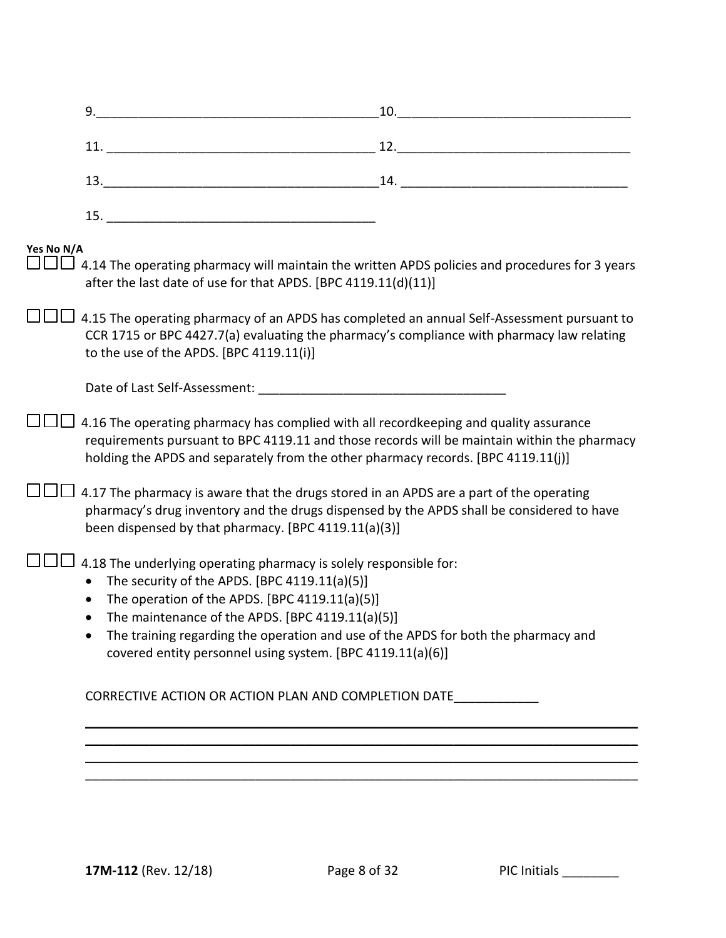|            | 9.                                                                                                                                                                                                                                                                                                                                                                                                     | 10. |
|------------|--------------------------------------------------------------------------------------------------------------------------------------------------------------------------------------------------------------------------------------------------------------------------------------------------------------------------------------------------------------------------------------------------------|-----|
|            |                                                                                                                                                                                                                                                                                                                                                                                                        |     |
|            |                                                                                                                                                                                                                                                                                                                                                                                                        |     |
|            |                                                                                                                                                                                                                                                                                                                                                                                                        |     |
| Yes No N/A | 4.14 The operating pharmacy will maintain the written APDS policies and procedures for 3 years<br>after the last date of use for that APDS. [BPC 4119.11(d)(11)]                                                                                                                                                                                                                                       |     |
|            | 4.15 The operating pharmacy of an APDS has completed an annual Self-Assessment pursuant to<br>CCR 1715 or BPC 4427.7(a) evaluating the pharmacy's compliance with pharmacy law relating<br>to the use of the APDS. [BPC 4119.11(i)]                                                                                                                                                                    |     |
|            |                                                                                                                                                                                                                                                                                                                                                                                                        |     |
|            | 4.16 The operating pharmacy has complied with all recordkeeping and quality assurance<br>requirements pursuant to BPC 4119.11 and those records will be maintain within the pharmacy<br>holding the APDS and separately from the other pharmacy records. [BPC 4119.11(j)]                                                                                                                              |     |
|            | 4.17 The pharmacy is aware that the drugs stored in an APDS are a part of the operating<br>pharmacy's drug inventory and the drugs dispensed by the APDS shall be considered to have<br>been dispensed by that pharmacy. [BPC 4119.11(a)(3)]                                                                                                                                                           |     |
|            | 4.18 The underlying operating pharmacy is solely responsible for:<br>The security of the APDS. [BPC 4119.11(a)(5)]<br>$\bullet$<br>The operation of the APDS. [BPC 4119.11(a)(5)]<br>$\bullet$<br>The maintenance of the APDS. [BPC 4119.11(a)(5)]<br>The training regarding the operation and use of the APDS for both the pharmacy and<br>covered entity personnel using system. [BPC 4119.11(a)(6)] |     |
|            | CORRECTIVE ACTION OR ACTION PLAN AND COMPLETION DATE                                                                                                                                                                                                                                                                                                                                                   |     |
|            |                                                                                                                                                                                                                                                                                                                                                                                                        |     |
|            |                                                                                                                                                                                                                                                                                                                                                                                                        |     |
|            |                                                                                                                                                                                                                                                                                                                                                                                                        |     |
|            |                                                                                                                                                                                                                                                                                                                                                                                                        |     |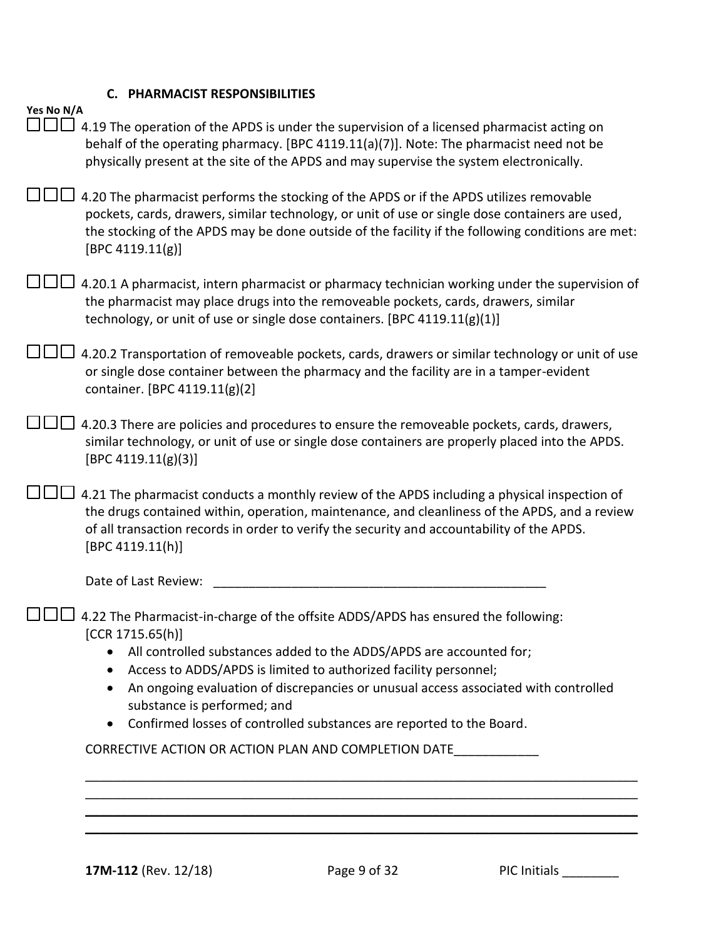# **C. PHARMACIST RESPONSIBILITIES**

| Yes No N/A |                                                                                                                                                                                                                                                                                                                     |
|------------|---------------------------------------------------------------------------------------------------------------------------------------------------------------------------------------------------------------------------------------------------------------------------------------------------------------------|
|            | 4.19 The operation of the APDS is under the supervision of a licensed pharmacist acting on<br>behalf of the operating pharmacy. [BPC 4119.11(a)(7)]. Note: The pharmacist need not be<br>physically present at the site of the APDS and may supervise the system electronically.                                    |
|            | 4.20 The pharmacist performs the stocking of the APDS or if the APDS utilizes removable<br>pockets, cards, drawers, similar technology, or unit of use or single dose containers are used,<br>the stocking of the APDS may be done outside of the facility if the following conditions are met:<br>[BPC 4119.11(g)] |
|            | 4.20.1 A pharmacist, intern pharmacist or pharmacy technician working under the supervision of<br>the pharmacist may place drugs into the removeable pockets, cards, drawers, similar<br>technology, or unit of use or single dose containers. [BPC 4119.11(g)(1)]                                                  |
|            | 4.20.2 Transportation of removeable pockets, cards, drawers or similar technology or unit of use<br>or single dose container between the pharmacy and the facility are in a tamper-evident<br>container. [BPC 4119.11(g)(2]                                                                                         |
|            | 4.20.3 There are policies and procedures to ensure the removeable pockets, cards, drawers,<br>similar technology, or unit of use or single dose containers are properly placed into the APDS.<br>[BPC 4119.11(g)(3)]                                                                                                |
|            | 4.21 The pharmacist conducts a monthly review of the APDS including a physical inspection of<br>the drugs contained within, operation, maintenance, and cleanliness of the APDS, and a review<br>of all transaction records in order to verify the security and accountability of the APDS.<br>[BPC 4119.11(h)]     |
|            | Date of Last Review:                                                                                                                                                                                                                                                                                                |
|            | 4.22 The Pharmacist-in-charge of the offsite ADDS/APDS has ensured the following:<br>[CCR 1715.65(h)]<br>All controlled substances added to the ADDS/APDS are accounted for;                                                                                                                                        |
|            | Access to ADDS/APDS is limited to authorized facility personnel;<br>An ongoing evaluation of discrepancies or unusual access associated with controlled<br>substance is performed; and<br>Confirmed losses of controlled substances are reported to the Board.                                                      |
|            | CORRECTIVE ACTION OR ACTION PLAN AND COMPLETION DATE                                                                                                                                                                                                                                                                |
|            |                                                                                                                                                                                                                                                                                                                     |
|            |                                                                                                                                                                                                                                                                                                                     |
|            |                                                                                                                                                                                                                                                                                                                     |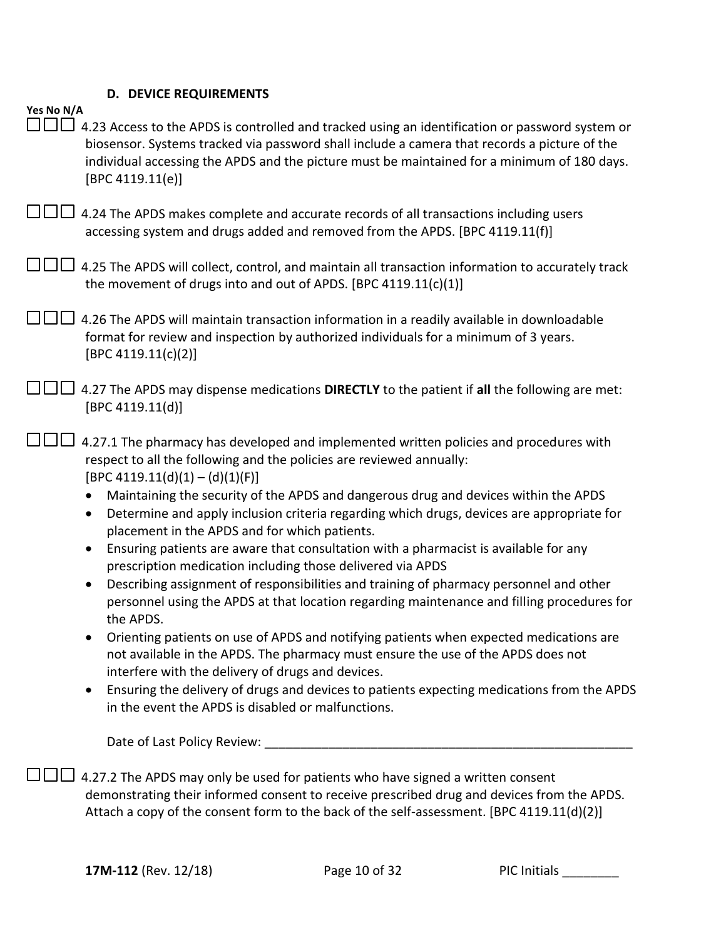# **D. DEVICE REQUIREMENTS**

| Yes No N/A |                                                                                                                                                                                                                                                                                                                                                                                                                                                                                                                                                                                                                                                                                                                                                                                                                                                                                                                                                                                                                                                                                                                                                                                                                                                                            |
|------------|----------------------------------------------------------------------------------------------------------------------------------------------------------------------------------------------------------------------------------------------------------------------------------------------------------------------------------------------------------------------------------------------------------------------------------------------------------------------------------------------------------------------------------------------------------------------------------------------------------------------------------------------------------------------------------------------------------------------------------------------------------------------------------------------------------------------------------------------------------------------------------------------------------------------------------------------------------------------------------------------------------------------------------------------------------------------------------------------------------------------------------------------------------------------------------------------------------------------------------------------------------------------------|
|            | 4.23 Access to the APDS is controlled and tracked using an identification or password system or<br>biosensor. Systems tracked via password shall include a camera that records a picture of the<br>individual accessing the APDS and the picture must be maintained for a minimum of 180 days.<br>[BPC 4119.11(e)]                                                                                                                                                                                                                                                                                                                                                                                                                                                                                                                                                                                                                                                                                                                                                                                                                                                                                                                                                         |
|            | 4.24 The APDS makes complete and accurate records of all transactions including users<br>accessing system and drugs added and removed from the APDS. [BPC 4119.11(f)]                                                                                                                                                                                                                                                                                                                                                                                                                                                                                                                                                                                                                                                                                                                                                                                                                                                                                                                                                                                                                                                                                                      |
|            | 4.25 The APDS will collect, control, and maintain all transaction information to accurately track<br>the movement of drugs into and out of APDS. [BPC 4119.11(c)(1)]                                                                                                                                                                                                                                                                                                                                                                                                                                                                                                                                                                                                                                                                                                                                                                                                                                                                                                                                                                                                                                                                                                       |
|            | 4.26 The APDS will maintain transaction information in a readily available in downloadable<br>format for review and inspection by authorized individuals for a minimum of 3 years.<br>[BPC 4119.11(c)(2)]                                                                                                                                                                                                                                                                                                                                                                                                                                                                                                                                                                                                                                                                                                                                                                                                                                                                                                                                                                                                                                                                  |
|            | 4.27 The APDS may dispense medications DIRECTLY to the patient if all the following are met:<br>[BPC 4119.11(d)]                                                                                                                                                                                                                                                                                                                                                                                                                                                                                                                                                                                                                                                                                                                                                                                                                                                                                                                                                                                                                                                                                                                                                           |
|            | 4.27.1 The pharmacy has developed and implemented written policies and procedures with<br>respect to all the following and the policies are reviewed annually:<br>$[BPC 4119.11(d)(1) - (d)(1)(F)]$<br>Maintaining the security of the APDS and dangerous drug and devices within the APDS<br>Determine and apply inclusion criteria regarding which drugs, devices are appropriate for<br>placement in the APDS and for which patients.<br>Ensuring patients are aware that consultation with a pharmacist is available for any<br>$\bullet$<br>prescription medication including those delivered via APDS<br>Describing assignment of responsibilities and training of pharmacy personnel and other<br>$\bullet$<br>personnel using the APDS at that location regarding maintenance and filling procedures for<br>the APDS.<br>Orienting patients on use of APDS and notifying patients when expected medications are<br>not available in the APDS. The pharmacy must ensure the use of the APDS does not<br>interfere with the delivery of drugs and devices.<br>Ensuring the delivery of drugs and devices to patients expecting medications from the APDS<br>$\bullet$<br>in the event the APDS is disabled or malfunctions.<br>Date of Last Policy Review: _________ |
|            | 4.27.2 The APDS may only be used for patients who have signed a written consent<br>demonstrating their informed consent to receive prescribed drug and devices from the APDS.<br>Attach a copy of the consent form to the back of the self-assessment. [BPC 4119.11(d)(2)]                                                                                                                                                                                                                                                                                                                                                                                                                                                                                                                                                                                                                                                                                                                                                                                                                                                                                                                                                                                                 |

**17M-112** (Rev. 12/18) **Page 10 of 32** PIC Initials \_\_\_\_\_\_\_\_\_\_\_\_\_\_\_\_\_\_\_\_\_\_\_\_\_\_\_\_\_\_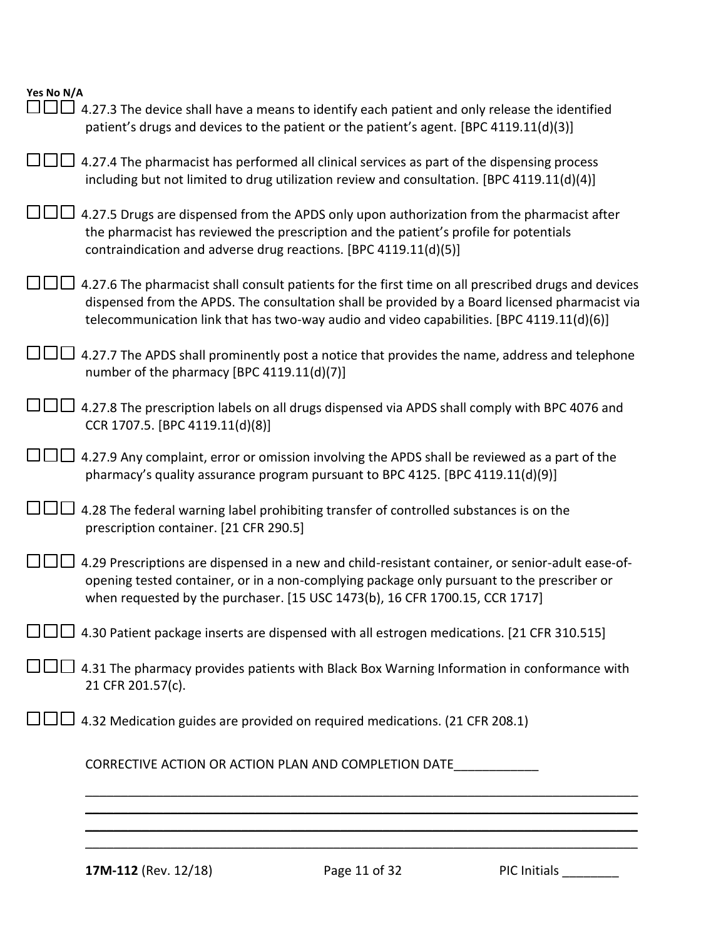| Yes No N/A                                                                                                                                                                                                                                                                                         |
|----------------------------------------------------------------------------------------------------------------------------------------------------------------------------------------------------------------------------------------------------------------------------------------------------|
| - 11 - 1<br>4.27.3 The device shall have a means to identify each patient and only release the identified<br>patient's drugs and devices to the patient or the patient's agent. [BPC 4119.11(d)(3)]                                                                                                |
| 4.27.4 The pharmacist has performed all clinical services as part of the dispensing process<br>including but not limited to drug utilization review and consultation. [BPC 4119.11(d)(4)]                                                                                                          |
| 4.27.5 Drugs are dispensed from the APDS only upon authorization from the pharmacist after<br>the pharmacist has reviewed the prescription and the patient's profile for potentials<br>contraindication and adverse drug reactions. [BPC 4119.11(d)(5)]                                            |
| 4.27.6 The pharmacist shall consult patients for the first time on all prescribed drugs and devices<br>dispensed from the APDS. The consultation shall be provided by a Board licensed pharmacist via<br>telecommunication link that has two-way audio and video capabilities. [BPC 4119.11(d)(6)] |
| 4.27.7 The APDS shall prominently post a notice that provides the name, address and telephone<br>number of the pharmacy [BPC 4119.11(d)(7)]                                                                                                                                                        |
| 4.27.8 The prescription labels on all drugs dispensed via APDS shall comply with BPC 4076 and<br>CCR 1707.5. [BPC 4119.11(d)(8)]                                                                                                                                                                   |
| 4.27.9 Any complaint, error or omission involving the APDS shall be reviewed as a part of the<br>pharmacy's quality assurance program pursuant to BPC 4125. [BPC 4119.11(d)(9)]                                                                                                                    |
| 4.28 The federal warning label prohibiting transfer of controlled substances is on the<br>prescription container. [21 CFR 290.5]                                                                                                                                                                   |
| 4.29 Prescriptions are dispensed in a new and child-resistant container, or senior-adult ease-of-<br>opening tested container, or in a non-complying package only pursuant to the prescriber or<br>when requested by the purchaser. [15 USC 1473(b), 16 CFR 1700.15, CCR 1717]                     |
| 4.30 Patient package inserts are dispensed with all estrogen medications. [21 CFR 310.515]                                                                                                                                                                                                         |
| □□ 4.31 The pharmacy provides patients with Black Box Warning Information in conformance with<br>21 CFR 201.57(c).                                                                                                                                                                                 |
| 4.32 Medication guides are provided on required medications. (21 CFR 208.1)                                                                                                                                                                                                                        |
| CORRECTIVE ACTION OR ACTION PLAN AND COMPLETION DATE                                                                                                                                                                                                                                               |
|                                                                                                                                                                                                                                                                                                    |
|                                                                                                                                                                                                                                                                                                    |

**17M-112** (Rev. 12/18) Page 11 of 32 PIC Initials 2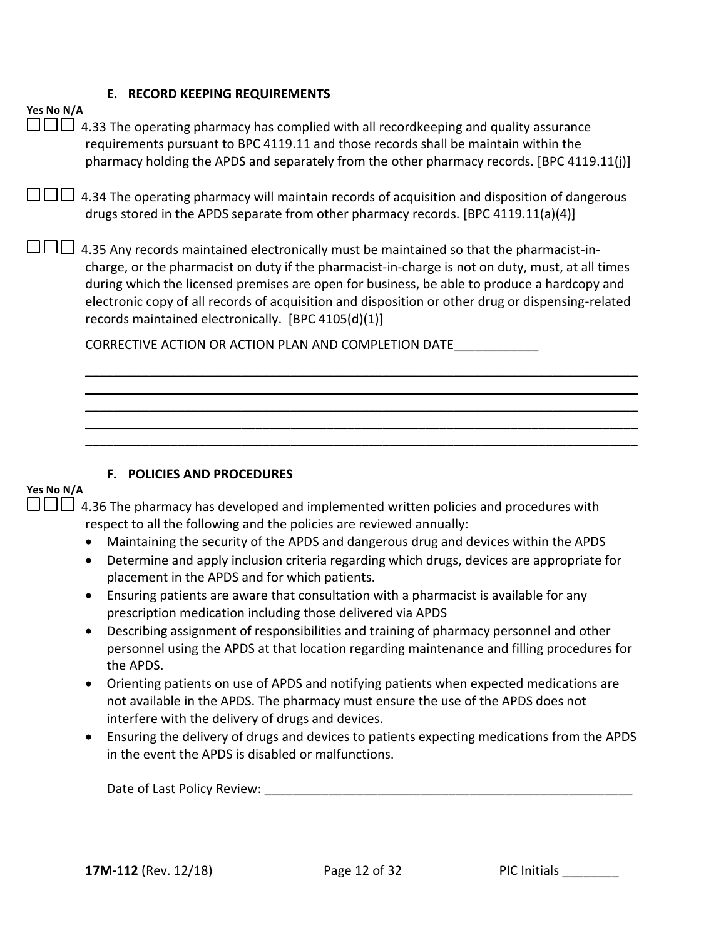#### **E. RECORD KEEPING REQUIREMENTS**

| Yes No N/A | 4.33 The operating pharmacy has complied with all recordkeeping and quality assurance<br>requirements pursuant to BPC 4119.11 and those records shall be maintain within the<br>pharmacy holding the APDS and separately from the other pharmacy records. [BPC 4119.11(j)]                                                                                                                                                                              |
|------------|---------------------------------------------------------------------------------------------------------------------------------------------------------------------------------------------------------------------------------------------------------------------------------------------------------------------------------------------------------------------------------------------------------------------------------------------------------|
|            | 4.34 The operating pharmacy will maintain records of acquisition and disposition of dangerous<br>drugs stored in the APDS separate from other pharmacy records. [BPC 4119.11(a)(4)]                                                                                                                                                                                                                                                                     |
|            | 4.35 Any records maintained electronically must be maintained so that the pharmacist-in-<br>charge, or the pharmacist on duty if the pharmacist-in-charge is not on duty, must, at all times<br>during which the licensed premises are open for business, be able to produce a hardcopy and<br>electronic copy of all records of acquisition and disposition or other drug or dispensing-related<br>records maintained electronically. [BPC 4105(d)(1)] |
|            | CORRECTIVE ACTION OR ACTION PLAN AND COMPLETION DATE                                                                                                                                                                                                                                                                                                                                                                                                    |
|            |                                                                                                                                                                                                                                                                                                                                                                                                                                                         |
|            |                                                                                                                                                                                                                                                                                                                                                                                                                                                         |
|            |                                                                                                                                                                                                                                                                                                                                                                                                                                                         |
|            |                                                                                                                                                                                                                                                                                                                                                                                                                                                         |

### **F. POLICIES AND PROCEDURES**

# **Yes No N/A**

| $\square \square \square$ 4.36 The pharmacy has developed and implemented written policies and procedures with |
|----------------------------------------------------------------------------------------------------------------|
| respect to all the following and the policies are reviewed annually:                                           |

- Maintaining the security of the APDS and dangerous drug and devices within the APDS
- Determine and apply inclusion criteria regarding which drugs, devices are appropriate for placement in the APDS and for which patients.
- Ensuring patients are aware that consultation with a pharmacist is available for any prescription medication including those delivered via APDS
- Describing assignment of responsibilities and training of pharmacy personnel and other personnel using the APDS at that location regarding maintenance and filling procedures for the APDS.
- Orienting patients on use of APDS and notifying patients when expected medications are not available in the APDS. The pharmacy must ensure the use of the APDS does not interfere with the delivery of drugs and devices.
- Ensuring the delivery of drugs and devices to patients expecting medications from the APDS in the event the APDS is disabled or malfunctions.

Date of Last Policy Review:  $\Box$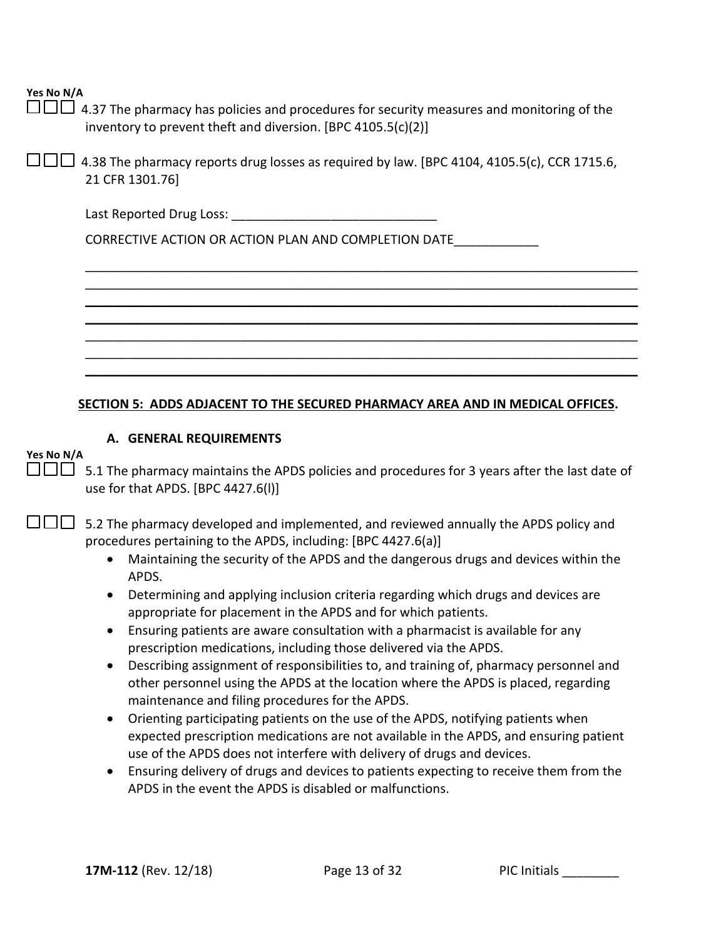$\Box\Box\Box$  4.37 The pharmacy has policies and procedures for security measures and monitoring of the inventory to prevent theft and diversion. [BPC 4105.5(c)(2)]

 $\Box$  $\Box$  4.38 The pharmacy reports drug losses as required by law. [BPC 4104, 4105.5(c), CCR 1715.6, 21 CFR 1301.76]

| Last Reported Drug Loss: |  |
|--------------------------|--|
|--------------------------|--|

CORRECTIVE ACTION OR ACTION PLAN AND COMPLETION DATE\_\_\_\_\_\_\_\_\_\_\_\_

### **SECTION 5: ADDS ADJACENT TO THE SECURED PHARMACY AREA AND IN MEDICAL OFFICES.**

\_\_\_\_\_\_\_\_\_\_\_\_\_\_\_\_\_\_\_\_\_\_\_\_\_\_\_\_\_\_\_\_\_\_\_\_\_\_\_\_\_\_\_\_\_\_\_\_\_\_\_\_\_\_\_\_\_\_\_\_\_\_\_\_\_\_\_\_\_\_\_\_\_\_\_\_\_\_ \_\_\_\_\_\_\_\_\_\_\_\_\_\_\_\_\_\_\_\_\_\_\_\_\_\_\_\_\_\_\_\_\_\_\_\_\_\_\_\_\_\_\_\_\_\_\_\_\_\_\_\_\_\_\_\_\_\_\_\_\_\_\_\_\_\_\_\_\_\_\_\_\_\_\_\_\_\_ \_\_\_\_\_\_\_\_\_\_\_\_\_\_\_\_\_\_\_\_\_\_\_\_\_\_\_\_\_\_\_\_\_\_\_\_\_\_\_\_\_\_\_\_\_\_\_\_\_\_\_\_\_\_\_\_\_\_\_\_\_\_\_\_\_\_\_\_\_\_\_\_\_\_\_\_\_\_ \_\_\_\_\_\_\_\_\_\_\_\_\_\_\_\_\_\_\_\_\_\_\_\_\_\_\_\_\_\_\_\_\_\_\_\_\_\_\_\_\_\_\_\_\_\_\_\_\_\_\_\_\_\_\_\_\_\_\_\_\_\_\_\_\_\_\_\_\_\_\_\_\_\_\_\_\_\_ \_\_\_\_\_\_\_\_\_\_\_\_\_\_\_\_\_\_\_\_\_\_\_\_\_\_\_\_\_\_\_\_\_\_\_\_\_\_\_\_\_\_\_\_\_\_\_\_\_\_\_\_\_\_\_\_\_\_\_\_\_\_\_\_\_\_\_\_\_\_\_\_\_\_\_\_\_\_ \_\_\_\_\_\_\_\_\_\_\_\_\_\_\_\_\_\_\_\_\_\_\_\_\_\_\_\_\_\_\_\_\_\_\_\_\_\_\_\_\_\_\_\_\_\_\_\_\_\_\_\_\_\_\_\_\_\_\_\_\_\_\_\_\_\_\_\_\_\_\_\_\_\_\_\_\_\_ \_\_\_\_\_\_\_\_\_\_\_\_\_\_\_\_\_\_\_\_\_\_\_\_\_\_\_\_\_\_\_\_\_\_\_\_\_\_\_\_\_\_\_\_\_\_\_\_\_\_\_\_\_\_\_\_\_\_\_\_\_\_\_\_\_\_\_\_\_\_\_\_\_\_\_\_\_\_

### **A. GENERAL REQUIREMENTS**

### **Yes No N/A**

 $\square \square \square$  5.1 The pharmacy maintains the APDS policies and procedures for 3 years after the last date of use for that APDS. [BPC 4427.6(l)]

 $\Box$  5.2 The pharmacy developed and implemented, and reviewed annually the APDS policy and procedures pertaining to the APDS, including: [BPC 4427.6(a)]

- Maintaining the security of the APDS and the dangerous drugs and devices within the APDS.
- Determining and applying inclusion criteria regarding which drugs and devices are appropriate for placement in the APDS and for which patients.
- Ensuring patients are aware consultation with a pharmacist is available for any prescription medications, including those delivered via the APDS.
- Describing assignment of responsibilities to, and training of, pharmacy personnel and other personnel using the APDS at the location where the APDS is placed, regarding maintenance and filing procedures for the APDS.
- Orienting participating patients on the use of the APDS, notifying patients when expected prescription medications are not available in the APDS, and ensuring patient use of the APDS does not interfere with delivery of drugs and devices.
- Ensuring delivery of drugs and devices to patients expecting to receive them from the APDS in the event the APDS is disabled or malfunctions.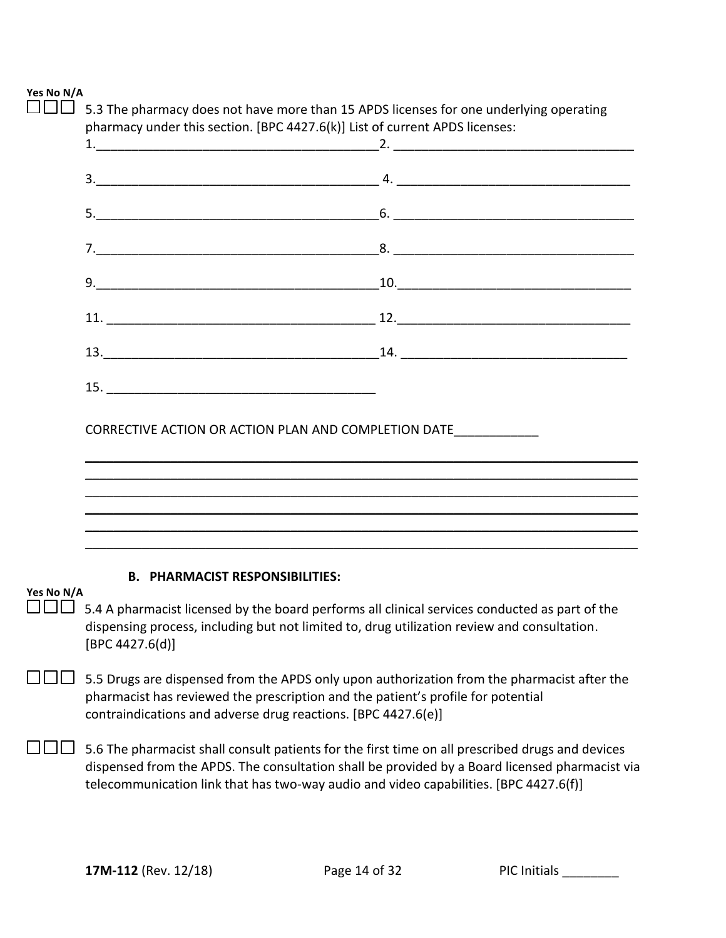|            | 5.3 The pharmacy does not have more than 15 APDS licenses for one underlying operating<br>pharmacy under this section. [BPC 4427.6(k)] List of current APDS licenses:                                                                                                                       |                                                                                                                                                                                                                                                          |
|------------|---------------------------------------------------------------------------------------------------------------------------------------------------------------------------------------------------------------------------------------------------------------------------------------------|----------------------------------------------------------------------------------------------------------------------------------------------------------------------------------------------------------------------------------------------------------|
|            |                                                                                                                                                                                                                                                                                             |                                                                                                                                                                                                                                                          |
|            |                                                                                                                                                                                                                                                                                             |                                                                                                                                                                                                                                                          |
|            |                                                                                                                                                                                                                                                                                             |                                                                                                                                                                                                                                                          |
|            |                                                                                                                                                                                                                                                                                             |                                                                                                                                                                                                                                                          |
|            |                                                                                                                                                                                                                                                                                             |                                                                                                                                                                                                                                                          |
|            |                                                                                                                                                                                                                                                                                             |                                                                                                                                                                                                                                                          |
|            |                                                                                                                                                                                                                                                                                             |                                                                                                                                                                                                                                                          |
|            |                                                                                                                                                                                                                                                                                             |                                                                                                                                                                                                                                                          |
|            | CORRECTIVE ACTION OR ACTION PLAN AND COMPLETION DATE                                                                                                                                                                                                                                        | <u> 1989 - Johann John Stone, mensk politiker og det større og det større og det større og det større og det stør</u>                                                                                                                                    |
|            |                                                                                                                                                                                                                                                                                             | ,我们也不会有什么。""我们的人,我们也不会有什么?""我们的人,我们也不会有什么?""我们的人,我们也不会有什么?""我们的人,我们也不会有什么?""我们的人<br>,我们也不会有什么。""我们的人,我们也不会有什么?""我们的人,我们也不会有什么?""我们的人,我们也不会有什么?""我们的人,我们也不会有什么?""我们的人<br>,我们也不会有什么。""我们的人,我们也不会有什么?""我们的人,我们也不会有什么?""我们的人,我们也不会有什么?""我们的人,我们也不会有什么?""我们的人 |
|            |                                                                                                                                                                                                                                                                                             | ,我们也不会有什么。""我们的人,我们也不会有什么?""我们的人,我们也不会有什么?""我们的人,我们也不会有什么?""我们的人,我们也不会有什么?""我们的人                                                                                                                                                                         |
| Yes No N/A | <b>B. PHARMACIST RESPONSIBILITIES:</b>                                                                                                                                                                                                                                                      |                                                                                                                                                                                                                                                          |
|            | 5.4 A pharmacist licensed by the board performs all clinical services conducted as part of the<br>dispensing process, including but not limited to, drug utilization review and consultation.<br>[BPC 4427.6(d)]                                                                            |                                                                                                                                                                                                                                                          |
|            | 5.5 Drugs are dispensed from the APDS only upon authorization from the pharmacist after the<br>pharmacist has reviewed the prescription and the patient's profile for potential<br>contraindications and adverse drug reactions. [BPC 4427.6(e)]                                            |                                                                                                                                                                                                                                                          |
|            | 5.6 The pharmacist shall consult patients for the first time on all prescribed drugs and devices<br>dispensed from the APDS. The consultation shall be provided by a Board licensed pharmacist via<br>telecommunication link that has two-way audio and video capabilities. [BPC 4427.6(f)] |                                                                                                                                                                                                                                                          |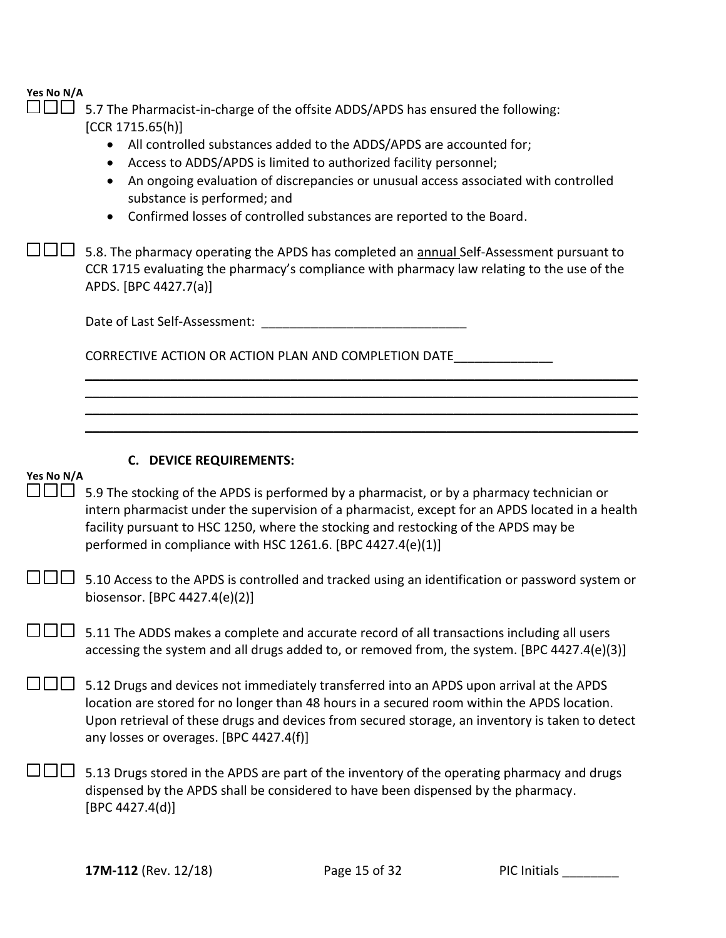5.7 The Pharmacist-in-charge of the offsite ADDS/APDS has ensured the following: [CCR 1715.65(h)]

- All controlled substances added to the ADDS/APDS are accounted for;
- Access to ADDS/APDS is limited to authorized facility personnel;
- An ongoing evaluation of discrepancies or unusual access associated with controlled substance is performed; and

\_\_\_\_\_\_\_\_\_\_\_\_\_\_\_\_\_\_\_\_\_\_\_\_\_\_\_\_\_\_\_\_\_\_\_\_\_\_\_\_\_\_\_\_\_\_\_\_\_\_\_\_\_\_\_\_\_\_\_\_\_\_\_\_\_\_\_\_\_\_\_\_\_\_\_\_\_\_ \_\_\_\_\_\_\_\_\_\_\_\_\_\_\_\_\_\_\_\_\_\_\_\_\_\_\_\_\_\_\_\_\_\_\_\_\_\_\_\_\_\_\_\_\_\_\_\_\_\_\_\_\_\_\_\_\_\_\_\_\_\_\_\_\_\_\_\_\_\_\_\_\_\_\_\_\_\_ \_\_\_\_\_\_\_\_\_\_\_\_\_\_\_\_\_\_\_\_\_\_\_\_\_\_\_\_\_\_\_\_\_\_\_\_\_\_\_\_\_\_\_\_\_\_\_\_\_\_\_\_\_\_\_\_\_\_\_\_\_\_\_\_\_\_\_\_\_\_\_\_\_\_\_\_\_\_ \_\_\_\_\_\_\_\_\_\_\_\_\_\_\_\_\_\_\_\_\_\_\_\_\_\_\_\_\_\_\_\_\_\_\_\_\_\_\_\_\_\_\_\_\_\_\_\_\_\_\_\_\_\_\_\_\_\_\_\_\_\_\_\_\_\_\_\_\_\_\_\_\_\_\_\_\_\_

• Confirmed losses of controlled substances are reported to the Board.

□□□□5.8. The pharmacy operating the APDS has completed an <u>annual</u> Self-Assessment pursuant to CCR 1715 evaluating the pharmacy's compliance with pharmacy law relating to the use of the APDS. [BPC 4427.7(a)]

Date of Last Self-Assessment:  $\Box$ 

CORRECTIVE ACTION OR ACTION PLAN AND COMPLETION DATE\_\_\_\_\_\_\_\_\_\_\_\_\_\_

### **C. DEVICE REQUIREMENTS:**

### **Yes No N/A**

 $\square \square \square$  5.9 The stocking of the APDS is performed by a pharmacist, or by a pharmacy technician or intern pharmacist under the supervision of a pharmacist, except for an APDS located in a health facility pursuant to HSC 1250, where the stocking and restocking of the APDS may be performed in compliance with HSC 1261.6. [BPC 4427.4(e)(1)]

 $\square \square \square$  5.10 Access to the APDS is controlled and tracked using an identification or password system or biosensor. [BPC 4427.4(e)(2)]

 $\square \square \square$  5.11 The ADDS makes a complete and accurate record of all transactions including all users accessing the system and all drugs added to, or removed from, the system. [BPC 4427.4(e)(3)]

 $\square \square \square$  5.12 Drugs and devices not immediately transferred into an APDS upon arrival at the APDS location are stored for no longer than 48 hours in a secured room within the APDS location. Upon retrieval of these drugs and devices from secured storage, an inventory is taken to detect any losses or overages. [BPC 4427.4(f)]

 $\square \square \square$  5.13 Drugs stored in the APDS are part of the inventory of the operating pharmacy and drugs dispensed by the APDS shall be considered to have been dispensed by the pharmacy. [BPC 4427.4(d)]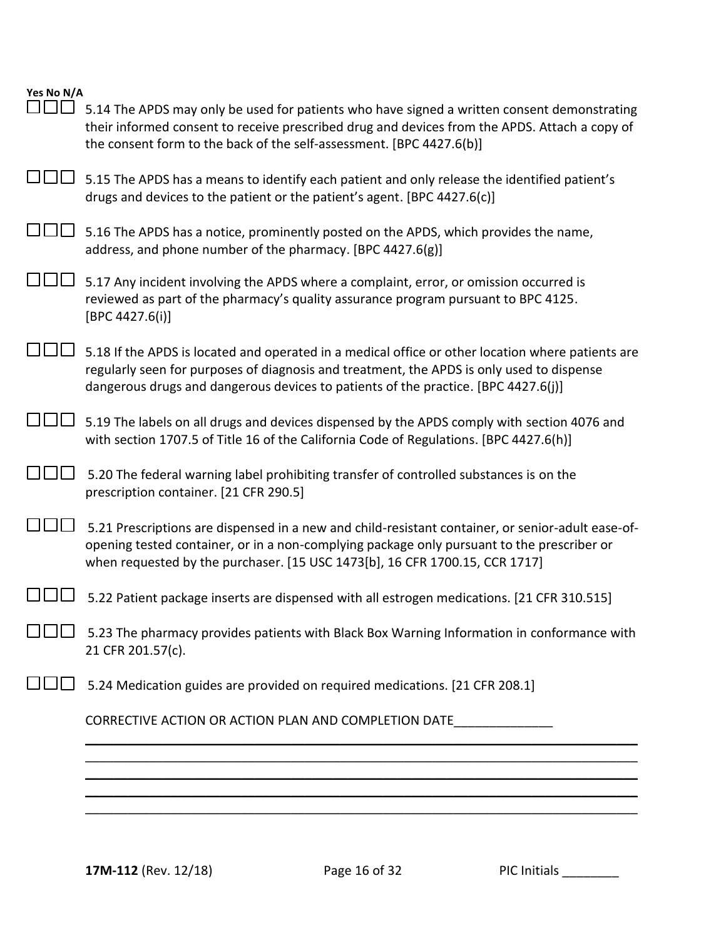| Yes No N/A<br>$\mathbf{1}$ $\mathbf{1}$ $\mathbf{1}$ | 5.14 The APDS may only be used for patients who have signed a written consent demonstrating<br>their informed consent to receive prescribed drug and devices from the APDS. Attach a copy of<br>the consent form to the back of the self-assessment. [BPC 4427.6(b)]                 |
|------------------------------------------------------|--------------------------------------------------------------------------------------------------------------------------------------------------------------------------------------------------------------------------------------------------------------------------------------|
|                                                      | 5.15 The APDS has a means to identify each patient and only release the identified patient's<br>drugs and devices to the patient or the patient's agent. [BPC 4427.6(c)]                                                                                                             |
|                                                      | 5.16 The APDS has a notice, prominently posted on the APDS, which provides the name,<br>address, and phone number of the pharmacy. [BPC 4427.6(g)]                                                                                                                                   |
|                                                      | 5.17 Any incident involving the APDS where a complaint, error, or omission occurred is<br>reviewed as part of the pharmacy's quality assurance program pursuant to BPC 4125.<br>[BPC 4427.6(i)]                                                                                      |
|                                                      | 5.18 If the APDS is located and operated in a medical office or other location where patients are<br>regularly seen for purposes of diagnosis and treatment, the APDS is only used to dispense<br>dangerous drugs and dangerous devices to patients of the practice. [BPC 4427.6(j)] |
|                                                      | 5.19 The labels on all drugs and devices dispensed by the APDS comply with section 4076 and<br>with section 1707.5 of Title 16 of the California Code of Regulations. [BPC 4427.6(h)]                                                                                                |
|                                                      | 5.20 The federal warning label prohibiting transfer of controlled substances is on the<br>prescription container. [21 CFR 290.5]                                                                                                                                                     |
|                                                      | 5.21 Prescriptions are dispensed in a new and child-resistant container, or senior-adult ease-of-<br>opening tested container, or in a non-complying package only pursuant to the prescriber or<br>when requested by the purchaser. [15 USC 1473[b], 16 CFR 1700.15, CCR 1717]       |
|                                                      | 5.22 Patient package inserts are dispensed with all estrogen medications. [21 CFR 310.515]                                                                                                                                                                                           |
|                                                      | 5.23 The pharmacy provides patients with Black Box Warning Information in conformance with<br>21 CFR 201.57(c).                                                                                                                                                                      |
|                                                      | 5.24 Medication guides are provided on required medications. [21 CFR 208.1]                                                                                                                                                                                                          |
|                                                      | CORRECTIVE ACTION OR ACTION PLAN AND COMPLETION DATE                                                                                                                                                                                                                                 |
|                                                      |                                                                                                                                                                                                                                                                                      |
|                                                      |                                                                                                                                                                                                                                                                                      |
|                                                      |                                                                                                                                                                                                                                                                                      |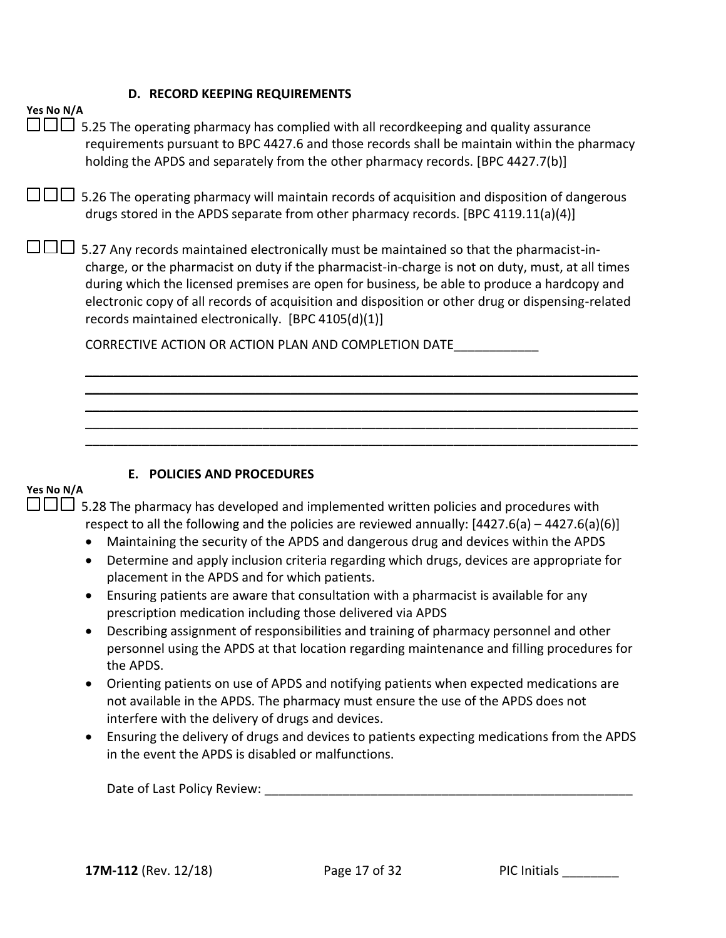#### **D. RECORD KEEPING REQUIREMENTS**

| Yes No N/A<br>5.25 The operating pharmacy has complied with all recordkeeping and quality assurance<br>requirements pursuant to BPC 4427.6 and those records shall be maintain within the pharmacy<br>holding the APDS and separately from the other pharmacy records. [BPC 4427.7(b)]                                                                                                                                                                  |
|---------------------------------------------------------------------------------------------------------------------------------------------------------------------------------------------------------------------------------------------------------------------------------------------------------------------------------------------------------------------------------------------------------------------------------------------------------|
| 5.26 The operating pharmacy will maintain records of acquisition and disposition of dangerous<br>drugs stored in the APDS separate from other pharmacy records. [BPC 4119.11(a)(4)]                                                                                                                                                                                                                                                                     |
| 5.27 Any records maintained electronically must be maintained so that the pharmacist-in-<br>charge, or the pharmacist on duty if the pharmacist-in-charge is not on duty, must, at all times<br>during which the licensed premises are open for business, be able to produce a hardcopy and<br>electronic copy of all records of acquisition and disposition or other drug or dispensing-related<br>records maintained electronically. [BPC 4105(d)(1)] |
| CORRECTIVE ACTION OR ACTION PLAN AND COMPLETION DATE                                                                                                                                                                                                                                                                                                                                                                                                    |
|                                                                                                                                                                                                                                                                                                                                                                                                                                                         |
|                                                                                                                                                                                                                                                                                                                                                                                                                                                         |
|                                                                                                                                                                                                                                                                                                                                                                                                                                                         |
| E. POLICIES AND PROCEDURES<br>Yes No N/A                                                                                                                                                                                                                                                                                                                                                                                                                |

 5.28 The pharmacy has developed and implemented written policies and procedures with respect to all the following and the policies are reviewed annually:  $[4427.6(a) - 4427.6(a)(6)]$ 

- Maintaining the security of the APDS and dangerous drug and devices within the APDS
- Determine and apply inclusion criteria regarding which drugs, devices are appropriate for placement in the APDS and for which patients.
- Ensuring patients are aware that consultation with a pharmacist is available for any prescription medication including those delivered via APDS
- Describing assignment of responsibilities and training of pharmacy personnel and other personnel using the APDS at that location regarding maintenance and filling procedures for the APDS.
- Orienting patients on use of APDS and notifying patients when expected medications are not available in the APDS. The pharmacy must ensure the use of the APDS does not interfere with the delivery of drugs and devices.
- Ensuring the delivery of drugs and devices to patients expecting medications from the APDS in the event the APDS is disabled or malfunctions.

Date of Last Policy Review:  $\Box$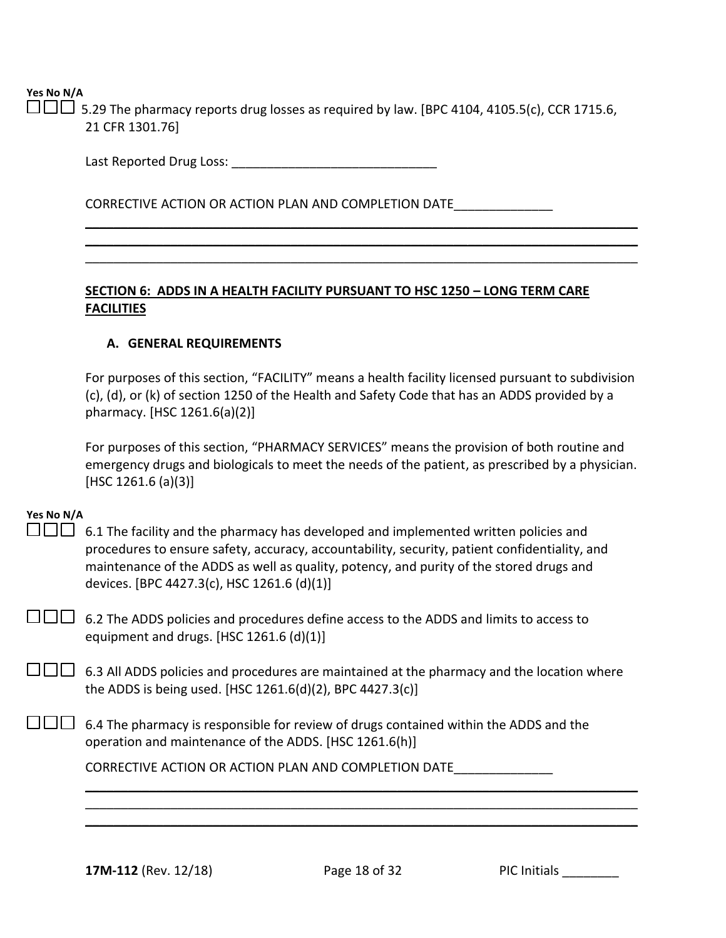$\Box\Box\Box$  5.29 The pharmacy reports drug losses as required by law. [BPC 4104, 4105.5(c), CCR 1715.6, 21 CFR 1301.76]

> \_\_\_\_\_\_\_\_\_\_\_\_\_\_\_\_\_\_\_\_\_\_\_\_\_\_\_\_\_\_\_\_\_\_\_\_\_\_\_\_\_\_\_\_\_\_\_\_\_\_\_\_\_\_\_\_\_\_\_\_\_\_\_\_\_\_\_\_\_\_\_\_\_\_\_\_\_\_ \_\_\_\_\_\_\_\_\_\_\_\_\_\_\_\_\_\_\_\_\_\_\_\_\_\_\_\_\_\_\_\_\_\_\_\_\_\_\_\_\_\_\_\_\_\_\_\_\_\_\_\_\_\_\_\_\_\_\_\_\_\_\_\_\_\_\_\_\_\_\_\_\_\_\_\_\_\_ \_\_\_\_\_\_\_\_\_\_\_\_\_\_\_\_\_\_\_\_\_\_\_\_\_\_\_\_\_\_\_\_\_\_\_\_\_\_\_\_\_\_\_\_\_\_\_\_\_\_\_\_\_\_\_\_\_\_\_\_\_\_\_\_\_\_\_\_\_\_\_\_\_\_\_\_\_\_

Last Reported Drug Loss: \_\_\_\_\_\_\_\_\_\_\_\_\_\_\_\_\_\_\_\_\_\_\_\_\_\_\_\_\_

CORRECTIVE ACTION OR ACTION PLAN AND COMPLETION DATE\_\_\_\_\_\_\_\_\_\_\_\_\_\_

### **SECTION 6: ADDS IN A HEALTH FACILITY PURSUANT TO HSC 1250 – LONG TERM CARE FACILITIES**

### **A. GENERAL REQUIREMENTS**

For purposes of this section, "FACILITY" means a health facility licensed pursuant to subdivision (c), (d), or (k) of section 1250 of the Health and Safety Code that has an ADDS provided by a pharmacy. [HSC 1261.6(a)(2)]

For purposes of this section, "PHARMACY SERVICES" means the provision of both routine and emergency drugs and biologicals to meet the needs of the patient, as prescribed by a physician. [HSC 1261.6 (a)(3)]

### **Yes No N/A**

 $\square \square \square$  6.1 The facility and the pharmacy has developed and implemented written policies and procedures to ensure safety, accuracy, accountability, security, patient confidentiality, and maintenance of the ADDS as well as quality, potency, and purity of the stored drugs and devices. [BPC 4427.3(c), HSC 1261.6 (d)(1)]

 $\Box$  $\Box$  6.2 The ADDS policies and procedures define access to the ADDS and limits to access to equipment and drugs. [HSC 1261.6 (d)(1)]

 $\Box$  6.3 All ADDS policies and procedures are maintained at the pharmacy and the location where the ADDS is being used. [HSC 1261.6(d)(2), BPC 4427.3(c)]

 $\square \square \square$  6.4 The pharmacy is responsible for review of drugs contained within the ADDS and the operation and maintenance of the ADDS. [HSC 1261.6(h)]

CORRECTIVE ACTION OR ACTION PLAN AND COMPLETION DATE\_\_\_\_\_\_\_\_\_\_\_\_\_\_

\_\_\_\_\_\_\_\_\_\_\_\_\_\_\_\_\_\_\_\_\_\_\_\_\_\_\_\_\_\_\_\_\_\_\_\_\_\_\_\_\_\_\_\_\_\_\_\_\_\_\_\_\_\_\_\_\_\_\_\_\_\_\_\_\_\_\_\_\_\_\_\_\_\_\_\_\_\_ \_\_\_\_\_\_\_\_\_\_\_\_\_\_\_\_\_\_\_\_\_\_\_\_\_\_\_\_\_\_\_\_\_\_\_\_\_\_\_\_\_\_\_\_\_\_\_\_\_\_\_\_\_\_\_\_\_\_\_\_\_\_\_\_\_\_\_\_\_\_\_\_\_\_\_\_\_\_ \_\_\_\_\_\_\_\_\_\_\_\_\_\_\_\_\_\_\_\_\_\_\_\_\_\_\_\_\_\_\_\_\_\_\_\_\_\_\_\_\_\_\_\_\_\_\_\_\_\_\_\_\_\_\_\_\_\_\_\_\_\_\_\_\_\_\_\_\_\_\_\_\_\_\_\_\_\_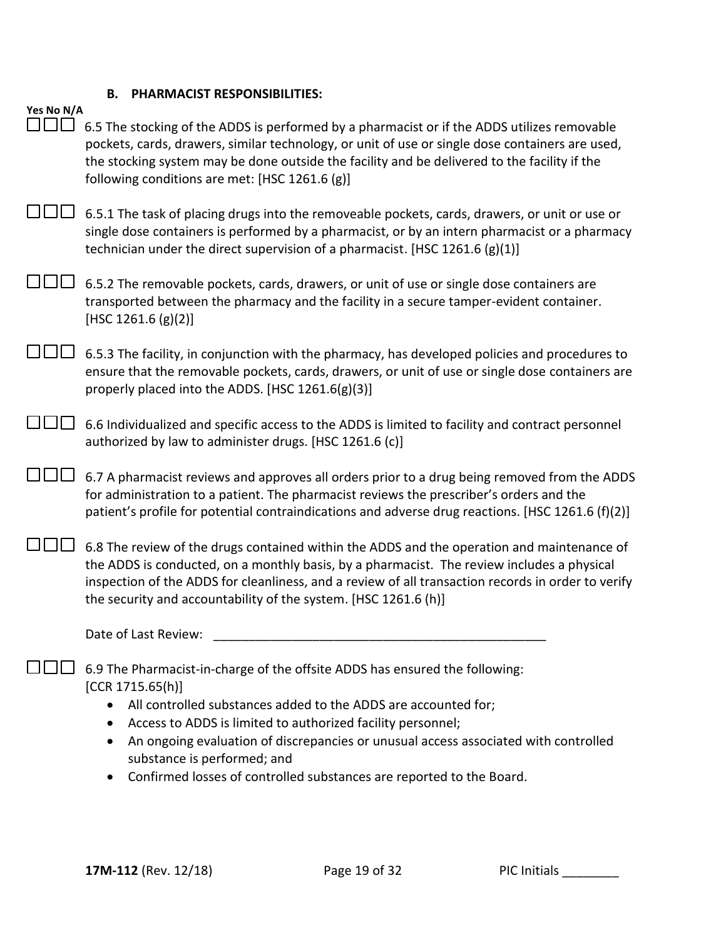# **B. PHARMACIST RESPONSIBILITIES:**

| Yes No N/A                                                                                                                                                                                                                                                                                                                                                                                                                     |
|--------------------------------------------------------------------------------------------------------------------------------------------------------------------------------------------------------------------------------------------------------------------------------------------------------------------------------------------------------------------------------------------------------------------------------|
| 6.5 The stocking of the ADDS is performed by a pharmacist or if the ADDS utilizes removable<br>pockets, cards, drawers, similar technology, or unit of use or single dose containers are used,<br>the stocking system may be done outside the facility and be delivered to the facility if the<br>following conditions are met: [HSC 1261.6 (g)]                                                                               |
| 6.5.1 The task of placing drugs into the removeable pockets, cards, drawers, or unit or use or<br>single dose containers is performed by a pharmacist, or by an intern pharmacist or a pharmacy<br>technician under the direct supervision of a pharmacist. [HSC 1261.6 (g)(1)]                                                                                                                                                |
| 6.5.2 The removable pockets, cards, drawers, or unit of use or single dose containers are<br>transported between the pharmacy and the facility in a secure tamper-evident container.<br>[HSC 1261.6 $(g)(2)$ ]                                                                                                                                                                                                                 |
| 6.5.3 The facility, in conjunction with the pharmacy, has developed policies and procedures to<br>ensure that the removable pockets, cards, drawers, or unit of use or single dose containers are<br>properly placed into the ADDS. [HSC 1261.6(g)(3)]                                                                                                                                                                         |
| 6.6 Individualized and specific access to the ADDS is limited to facility and contract personnel<br>authorized by law to administer drugs. [HSC 1261.6 (c)]                                                                                                                                                                                                                                                                    |
| 6.7 A pharmacist reviews and approves all orders prior to a drug being removed from the ADDS<br>for administration to a patient. The pharmacist reviews the prescriber's orders and the<br>patient's profile for potential contraindications and adverse drug reactions. [HSC 1261.6 (f)(2)]                                                                                                                                   |
| 6.8 The review of the drugs contained within the ADDS and the operation and maintenance of<br>the ADDS is conducted, on a monthly basis, by a pharmacist. The review includes a physical<br>inspection of the ADDS for cleanliness, and a review of all transaction records in order to verify<br>the security and accountability of the system. [HSC 1261.6 (h)]                                                              |
| Date of Last Review:                                                                                                                                                                                                                                                                                                                                                                                                           |
| 6.9 The Pharmacist-in-charge of the offsite ADDS has ensured the following:<br>[CCR 1715.65(h)]<br>All controlled substances added to the ADDS are accounted for;<br>Access to ADDS is limited to authorized facility personnel;<br>An ongoing evaluation of discrepancies or unusual access associated with controlled<br>substance is performed; and<br>Confirmed losses of controlled substances are reported to the Board. |
|                                                                                                                                                                                                                                                                                                                                                                                                                                |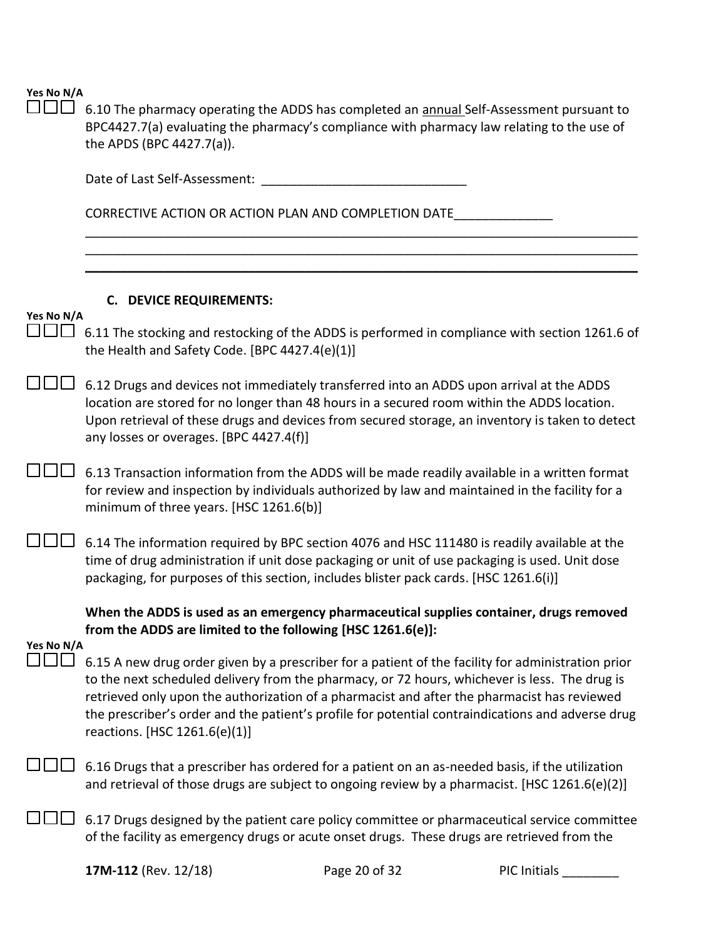$\square \square \square$  6.10 The pharmacy operating the ADDS has completed an **annual** Self-Assessment pursuant to BPC4427.7(a) evaluating the pharmacy's compliance with pharmacy law relating to the use of the APDS (BPC 4427.7(a)).

\_\_\_\_\_\_\_\_\_\_\_\_\_\_\_\_\_\_\_\_\_\_\_\_\_\_\_\_\_\_\_\_\_\_\_\_\_\_\_\_\_\_\_\_\_\_\_\_\_\_\_\_\_\_\_\_\_\_\_\_\_\_\_\_\_\_\_\_\_\_\_\_\_\_\_\_\_\_ \_\_\_\_\_\_\_\_\_\_\_\_\_\_\_\_\_\_\_\_\_\_\_\_\_\_\_\_\_\_\_\_\_\_\_\_\_\_\_\_\_\_\_\_\_\_\_\_\_\_\_\_\_\_\_\_\_\_\_\_\_\_\_\_\_\_\_\_\_\_\_\_\_\_\_\_\_\_ \_\_\_\_\_\_\_\_\_\_\_\_\_\_\_\_\_\_\_\_\_\_\_\_\_\_\_\_\_\_\_\_\_\_\_\_\_\_\_\_\_\_\_\_\_\_\_\_\_\_\_\_\_\_\_\_\_\_\_\_\_\_\_\_\_\_\_\_\_\_\_\_\_\_\_\_\_\_

Date of Last Self-Assessment:  $\Box$ 

CORRECTIVE ACTION OR ACTION PLAN AND COMPLETION DATE\_\_\_\_\_\_\_\_\_\_\_\_\_\_\_\_

### **C. DEVICE REQUIREMENTS:**

### **Yes No N/A**

 $\Box$  $\Box$  6.11 The stocking and restocking of the ADDS is performed in compliance with section 1261.6 of the Health and Safety Code. [BPC 4427.4(e)(1)]

 $\square \square \square$  6.12 Drugs and devices not immediately transferred into an ADDS upon arrival at the ADDS location are stored for no longer than 48 hours in a secured room within the ADDS location. Upon retrieval of these drugs and devices from secured storage, an inventory is taken to detect any losses or overages. [BPC 4427.4(f)]

 $\square \square \square$  6.13 Transaction information from the ADDS will be made readily available in a written format for review and inspection by individuals authorized by law and maintained in the facility for a minimum of three years. [HSC 1261.6(b)]

 $\Box$  6.14 The information required by BPC section 4076 and HSC 111480 is readily available at the time of drug administration if unit dose packaging or unit of use packaging is used. Unit dose packaging, for purposes of this section, includes blister pack cards. [HSC 1261.6(i)]

**When the ADDS is used as an emergency pharmaceutical supplies container, drugs removed from the ADDS are limited to the following [HSC 1261.6(e)]:**

### **Yes No N/A**

- $\square \square \square$  6.15 A new drug order given by a prescriber for a patient of the facility for administration prior to the next scheduled delivery from the pharmacy, or 72 hours, whichever is less. The drug is retrieved only upon the authorization of a pharmacist and after the pharmacist has reviewed the prescriber's order and the patient's profile for potential contraindications and adverse drug reactions. [HSC 1261.6(e)(1)]
- $\Box$  6.16 Drugs that a prescriber has ordered for a patient on an as-needed basis, if the utilization and retrieval of those drugs are subject to ongoing review by a pharmacist. [HSC 1261.6(e)(2)]
- $\Box$  6.17 Drugs designed by the patient care policy committee or pharmaceutical service committee of the facility as emergency drugs or acute onset drugs. These drugs are retrieved from the

**17M-112** (Rev. 12/18) **Page 20 of 32** PIC Initials Providence PIC Initials and PIC Initials and PIC Initials and PIC Initials and PIC Initials and PIC Initials and PIC Initials and PIC Initials and PIC Initials and PIC In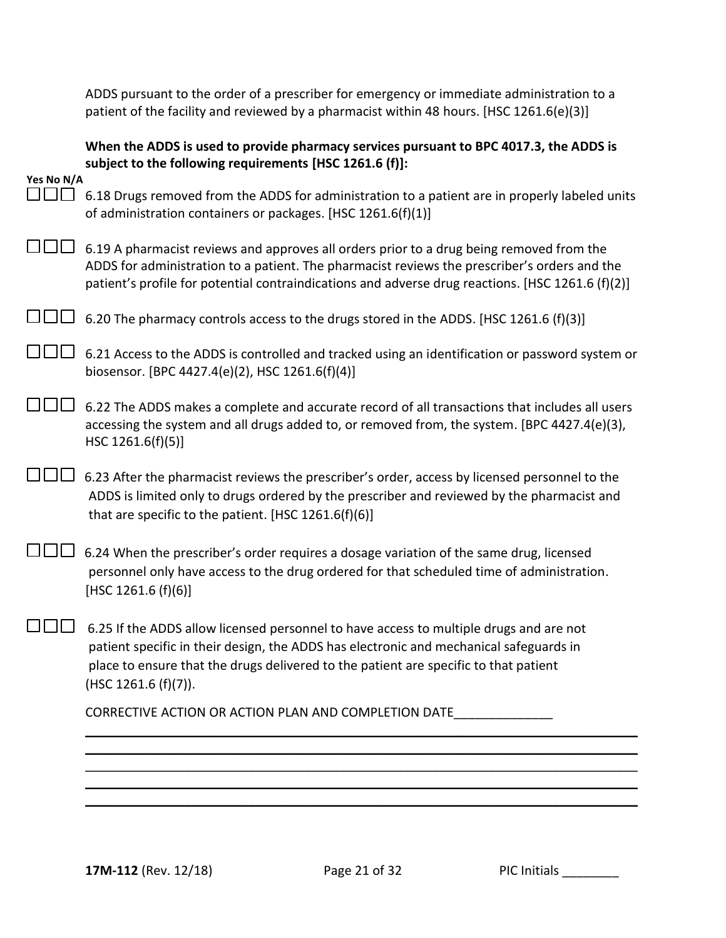ADDS pursuant to the order of a prescriber for emergency or immediate administration to a patient of the facility and reviewed by a pharmacist within 48 hours. [HSC 1261.6(e)(3)]

|            | When the ADDS is used to provide pharmacy services pursuant to BPC 4017.3, the ADDS is<br>subject to the following requirements [HSC 1261.6 (f)]:                                                                                                                                                |
|------------|--------------------------------------------------------------------------------------------------------------------------------------------------------------------------------------------------------------------------------------------------------------------------------------------------|
| Yes No N/A |                                                                                                                                                                                                                                                                                                  |
| TENT       | 6.18 Drugs removed from the ADDS for administration to a patient are in properly labeled units<br>of administration containers or packages. [HSC 1261.6(f)(1)]                                                                                                                                   |
|            | 6.19 A pharmacist reviews and approves all orders prior to a drug being removed from the<br>ADDS for administration to a patient. The pharmacist reviews the prescriber's orders and the<br>patient's profile for potential contraindications and adverse drug reactions. [HSC 1261.6 (f)(2)]    |
|            | 6.20 The pharmacy controls access to the drugs stored in the ADDS. [HSC 1261.6 (f)(3)]                                                                                                                                                                                                           |
|            | 6.21 Access to the ADDS is controlled and tracked using an identification or password system or<br>biosensor. [BPC 4427.4(e)(2), HSC 1261.6(f)(4)]                                                                                                                                               |
|            | 6.22 The ADDS makes a complete and accurate record of all transactions that includes all users<br>accessing the system and all drugs added to, or removed from, the system. [BPC 4427.4(e)(3),<br>HSC 1261.6(f)(5)]                                                                              |
|            | 6.23 After the pharmacist reviews the prescriber's order, access by licensed personnel to the<br>ADDS is limited only to drugs ordered by the prescriber and reviewed by the pharmacist and<br>that are specific to the patient. [HSC $1261.6(f)(6)$ ]                                           |
|            | 6.24 When the prescriber's order requires a dosage variation of the same drug, licensed<br>personnel only have access to the drug ordered for that scheduled time of administration.<br>[HSC 1261.6 $(f)(6)$ ]                                                                                   |
|            | 6.25 If the ADDS allow licensed personnel to have access to multiple drugs and are not<br>patient specific in their design, the ADDS has electronic and mechanical safeguards in<br>place to ensure that the drugs delivered to the patient are specific to that patient<br>(HSC 1261.6 (f)(7)). |
|            | CORRECTIVE ACTION OR ACTION PLAN AND COMPLETION DATE                                                                                                                                                                                                                                             |
|            |                                                                                                                                                                                                                                                                                                  |
|            |                                                                                                                                                                                                                                                                                                  |
|            |                                                                                                                                                                                                                                                                                                  |
|            |                                                                                                                                                                                                                                                                                                  |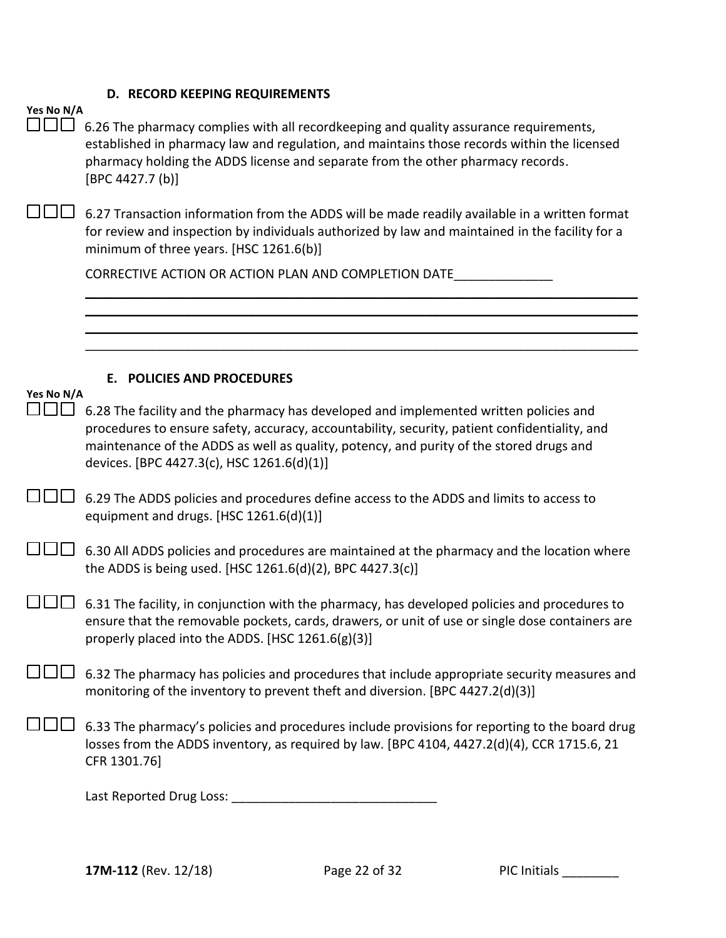# **D. RECORD KEEPING REQUIREMENTS**

|  | Yes No N/A |
|--|------------|
|  |            |

| Yes No N/A | 6.26 The pharmacy complies with all recordkeeping and quality assurance requirements,<br>established in pharmacy law and regulation, and maintains those records within the licensed<br>pharmacy holding the ADDS license and separate from the other pharmacy records.<br>[BPC 4427.7 (b)]                                     |
|------------|---------------------------------------------------------------------------------------------------------------------------------------------------------------------------------------------------------------------------------------------------------------------------------------------------------------------------------|
|            | 6.27 Transaction information from the ADDS will be made readily available in a written format<br>for review and inspection by individuals authorized by law and maintained in the facility for a<br>minimum of three years. [HSC 1261.6(b)]                                                                                     |
|            | CORRECTIVE ACTION OR ACTION PLAN AND COMPLETION DATE                                                                                                                                                                                                                                                                            |
|            |                                                                                                                                                                                                                                                                                                                                 |
|            |                                                                                                                                                                                                                                                                                                                                 |
| Yes No N/A | <b>E. POLICIES AND PROCEDURES</b>                                                                                                                                                                                                                                                                                               |
|            | 6.28 The facility and the pharmacy has developed and implemented written policies and<br>procedures to ensure safety, accuracy, accountability, security, patient confidentiality, and<br>maintenance of the ADDS as well as quality, potency, and purity of the stored drugs and<br>devices. [BPC 4427.3(c), HSC 1261.6(d)(1)] |
|            | 6.29 The ADDS policies and procedures define access to the ADDS and limits to access to<br>equipment and drugs. [HSC 1261.6(d)(1)]                                                                                                                                                                                              |
|            | 6.30 All ADDS policies and procedures are maintained at the pharmacy and the location where<br>the ADDS is being used. [HSC 1261.6(d)(2), BPC 4427.3(c)]                                                                                                                                                                        |
|            | 6.31 The facility, in conjunction with the pharmacy, has developed policies and procedures to<br>ensure that the removable pockets, cards, drawers, or unit of use or single dose containers are<br>properly placed into the ADDS. [HSC 1261.6(g)(3)]                                                                           |
|            | 6.32 The pharmacy has policies and procedures that include appropriate security measures and<br>monitoring of the inventory to prevent theft and diversion. [BPC 4427.2(d)(3)]                                                                                                                                                  |
|            | 6.33 The pharmacy's policies and procedures include provisions for reporting to the board drug<br>losses from the ADDS inventory, as required by law. [BPC 4104, 4427.2(d)(4), CCR 1715.6, 21<br>CFR 1301.76]                                                                                                                   |
|            |                                                                                                                                                                                                                                                                                                                                 |
|            |                                                                                                                                                                                                                                                                                                                                 |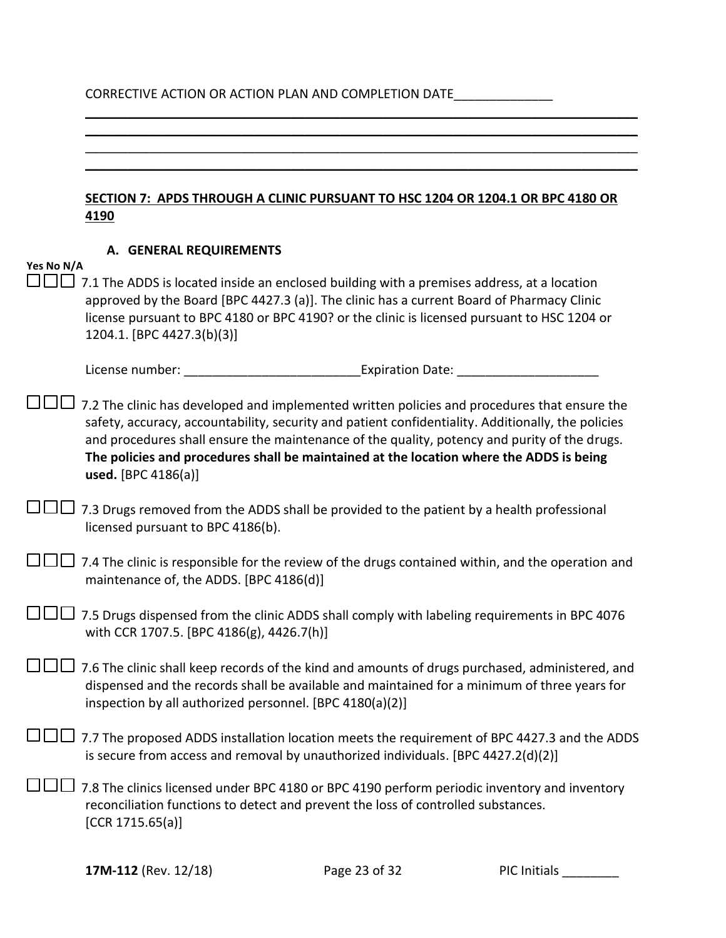# CORRECTIVE ACTION OR ACTION PLAN AND COMPLETION DATE\_\_\_\_\_\_\_\_\_\_\_\_\_\_\_\_

\_\_\_\_\_\_\_\_\_\_\_\_\_\_\_\_\_\_\_\_\_\_\_\_\_\_\_\_\_\_\_\_\_\_\_\_\_\_\_\_\_\_\_\_\_\_\_\_\_\_\_\_\_\_\_\_\_\_\_\_\_\_\_\_\_\_\_\_\_\_\_\_\_\_\_\_\_\_

|            | SECTION 7: APDS THROUGH A CLINIC PURSUANT TO HSC 1204 OR 1204.1 OR BPC 4180 OR<br>4190                                                                                                                                                                                                                                                                                                                               |
|------------|----------------------------------------------------------------------------------------------------------------------------------------------------------------------------------------------------------------------------------------------------------------------------------------------------------------------------------------------------------------------------------------------------------------------|
| Yes No N/A | A. GENERAL REQUIREMENTS                                                                                                                                                                                                                                                                                                                                                                                              |
|            | 7.1 The ADDS is located inside an enclosed building with a premises address, at a location<br>approved by the Board [BPC 4427.3 (a)]. The clinic has a current Board of Pharmacy Clinic<br>license pursuant to BPC 4180 or BPC 4190? or the clinic is licensed pursuant to HSC 1204 or<br>1204.1. [BPC 4427.3(b)(3)]                                                                                                 |
|            | License number:<br><b>Expiration Date:</b> Expiration Date:                                                                                                                                                                                                                                                                                                                                                          |
|            | 7.2 The clinic has developed and implemented written policies and procedures that ensure the<br>safety, accuracy, accountability, security and patient confidentiality. Additionally, the policies<br>and procedures shall ensure the maintenance of the quality, potency and purity of the drugs.<br>The policies and procedures shall be maintained at the location where the ADDS is being<br>used. [BPC 4186(a)] |
|            | 7.3 Drugs removed from the ADDS shall be provided to the patient by a health professional<br>licensed pursuant to BPC 4186(b).                                                                                                                                                                                                                                                                                       |
|            | 7.4 The clinic is responsible for the review of the drugs contained within, and the operation and<br>maintenance of, the ADDS. [BPC 4186(d)]                                                                                                                                                                                                                                                                         |
|            | 7.5 Drugs dispensed from the clinic ADDS shall comply with labeling requirements in BPC 4076<br>with CCR 1707.5. [BPC 4186(g), 4426.7(h)]                                                                                                                                                                                                                                                                            |
|            | 7.6 The clinic shall keep records of the kind and amounts of drugs purchased, administered, and<br>dispensed and the records shall be available and maintained for a minimum of three years for<br>inspection by all authorized personnel. [BPC 4180(a)(2)]                                                                                                                                                          |
|            | 7.7 The proposed ADDS installation location meets the requirement of BPC 4427.3 and the ADDS<br>is secure from access and removal by unauthorized individuals. [BPC 4427.2(d)(2)]                                                                                                                                                                                                                                    |
|            | 7.8 The clinics licensed under BPC 4180 or BPC 4190 perform periodic inventory and inventory<br>reconciliation functions to detect and prevent the loss of controlled substances.<br>[CCR 1715.65(a)]                                                                                                                                                                                                                |
|            |                                                                                                                                                                                                                                                                                                                                                                                                                      |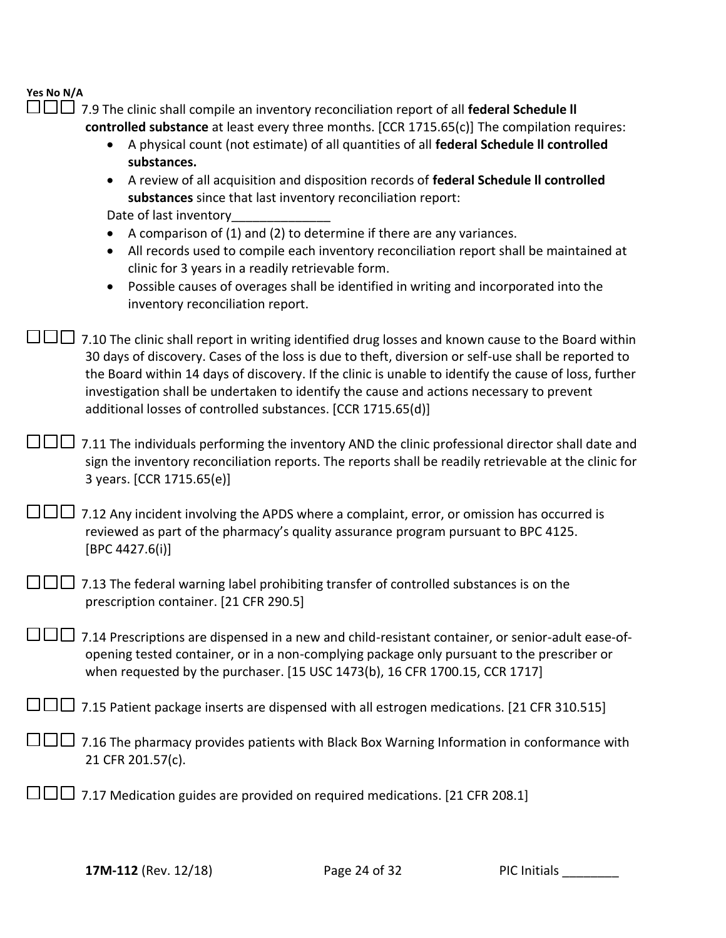#### **Yes No N/A**  $\Box\Box$

| $\Box$ 7.9 The clinic shall compile an inventory reconciliation report of all <b>federal Schedule II</b> |
|----------------------------------------------------------------------------------------------------------|
| controlled substance at least every three months. [CCR 1715.65(c)] The compilation requires:             |

- A physical count (not estimate) of all quantities of all **federal Schedule ll controlled substances.**
- A review of all acquisition and disposition records of **federal Schedule ll controlled substances** since that last inventory reconciliation report:

Date of last inventory

- A comparison of (1) and (2) to determine if there are any variances.
- All records used to compile each inventory reconciliation report shall be maintained at clinic for 3 years in a readily retrievable form.
- Possible causes of overages shall be identified in writing and incorporated into the inventory reconciliation report.

 $\Box$  $\Box$  7.10 The clinic shall report in writing identified drug losses and known cause to the Board within 30 days of discovery. Cases of the loss is due to theft, diversion or self-use shall be reported to the Board within 14 days of discovery. If the clinic is unable to identify the cause of loss, further investigation shall be undertaken to identify the cause and actions necessary to prevent additional losses of controlled substances. [CCR 1715.65(d)]

 $\Box$  $\Box$  7.11 The individuals performing the inventory AND the clinic professional director shall date and sign the inventory reconciliation reports. The reports shall be readily retrievable at the clinic for 3 years. [CCR 1715.65(e)]

| $\Box$ $\Box$ 7.12 Any incident involving the APDS where a complaint, error, or omission has occurred is |
|----------------------------------------------------------------------------------------------------------|
| reviewed as part of the pharmacy's quality assurance program pursuant to BPC 4125.                       |
| [BPC 4427.6(i)]                                                                                          |

| $\Box$ $\Box$ 7.13 The federal warning label prohibiting transfer of controlled substances is on the |  |
|------------------------------------------------------------------------------------------------------|--|
| prescription container. [21 CFR 290.5]                                                               |  |

 7.14 Prescriptions are dispensed in a new and child-resistant container, or senior-adult ease-ofopening tested container, or in a non-complying package only pursuant to the prescriber or when requested by the purchaser. [15 USC 1473(b), 16 CFR 1700.15, CCR 1717]

 $\square \square \square$  7.15 Patient package inserts are dispensed with all estrogen medications. [21 CFR 310.515]

- $\square\square\square$  7.16 The pharmacy provides patients with Black Box Warning Information in conformance with 21 CFR 201.57(c).
- $\Box$  $\Box$  7.17 Medication guides are provided on required medications. [21 CFR 208.1]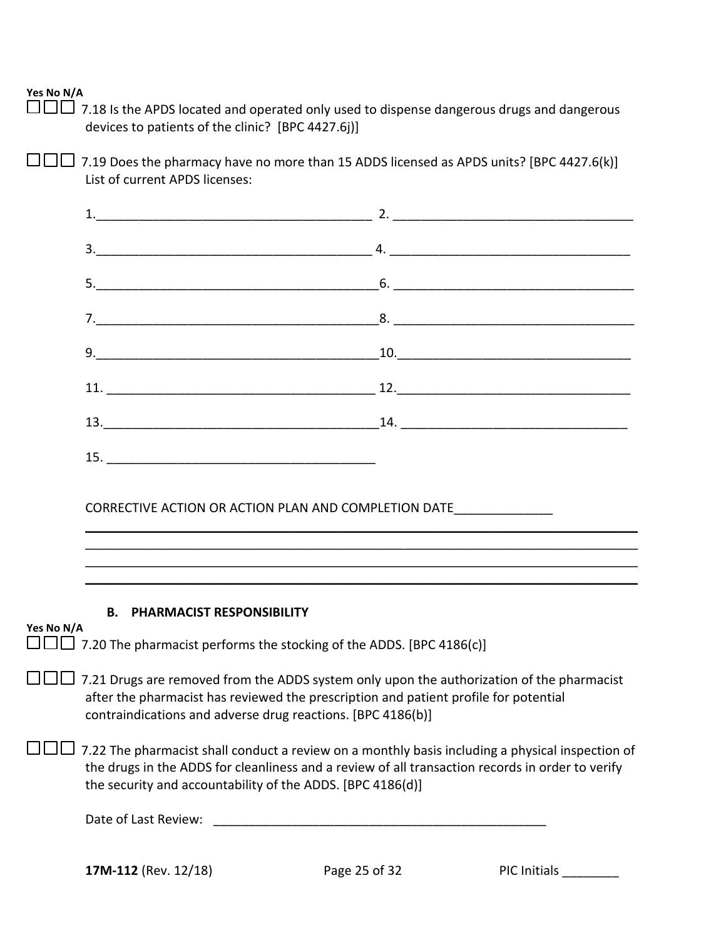$\square \square$  7.18 Is the APDS located and operated only used to dispense dangerous drugs and dangerous devices to patients of the clinic? [BPC 4427.6j)]

 $\square \square \square$  7.19 Does the pharmacy have no more than 15 ADDS licensed as APDS units? [BPC 4427.6(k)] List of current APDS licenses:

|            | <b>B. PHARMACIST RESPONSIBILITY</b>                                                                                                                                                                                                                                |  |
|------------|--------------------------------------------------------------------------------------------------------------------------------------------------------------------------------------------------------------------------------------------------------------------|--|
| Yes No N/A |                                                                                                                                                                                                                                                                    |  |
|            | $\Box$ 7.20 The pharmacist performs the stocking of the ADDS. [BPC 4186(c)]                                                                                                                                                                                        |  |
|            | □ 7.21 Drugs are removed from the ADDS system only upon the authorization of the pharmacist<br>after the pharmacist has reviewed the prescription and patient profile for potential<br>contraindications and adverse drug reactions. [BPC 4186(b)]                 |  |
|            | 7.22 The pharmacist shall conduct a review on a monthly basis including a physical inspection of<br>the drugs in the ADDS for cleanliness and a review of all transaction records in order to verify<br>the security and accountability of the ADDS. [BPC 4186(d)] |  |
|            | Date of Last Review:                                                                                                                                                                                                                                               |  |
|            |                                                                                                                                                                                                                                                                    |  |

**17M-112** (Rev. 12/18) **Page 25 of 32** PIC Initials **PIC Initials**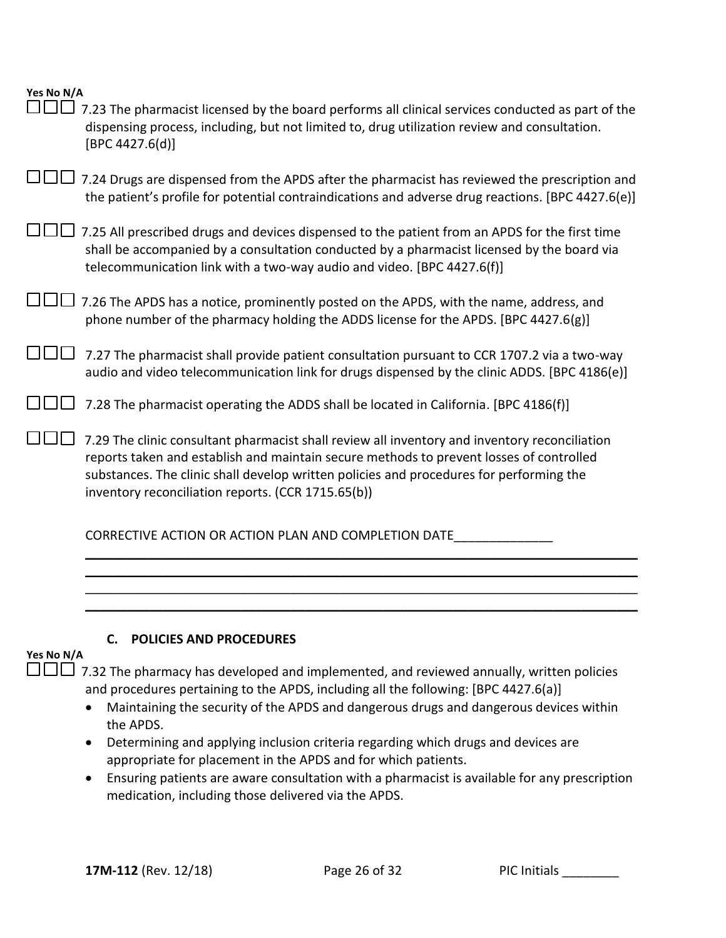|  | Yes No N/A |
|--|------------|
|  |            |

| 7.23 The pharmacist licensed by the board performs all clinical services conducted as part of the<br>dispensing process, including, but not limited to, drug utilization review and consultation.<br>[BPC 4427.6(d)]                                                                                                                      |
|-------------------------------------------------------------------------------------------------------------------------------------------------------------------------------------------------------------------------------------------------------------------------------------------------------------------------------------------|
| 7.24 Drugs are dispensed from the APDS after the pharmacist has reviewed the prescription and<br>the patient's profile for potential contraindications and adverse drug reactions. [BPC 4427.6(e)]                                                                                                                                        |
| 7.25 All prescribed drugs and devices dispensed to the patient from an APDS for the first time<br>shall be accompanied by a consultation conducted by a pharmacist licensed by the board via<br>telecommunication link with a two-way audio and video. [BPC 4427.6(f)]                                                                    |
| 7.26 The APDS has a notice, prominently posted on the APDS, with the name, address, and<br>phone number of the pharmacy holding the ADDS license for the APDS. [BPC 4427.6(g)]                                                                                                                                                            |
| 7.27 The pharmacist shall provide patient consultation pursuant to CCR 1707.2 via a two-way<br>audio and video telecommunication link for drugs dispensed by the clinic ADDS. [BPC 4186(e)]                                                                                                                                               |
| 7.28 The pharmacist operating the ADDS shall be located in California. [BPC 4186(f)]                                                                                                                                                                                                                                                      |
| 7.29 The clinic consultant pharmacist shall review all inventory and inventory reconciliation<br>reports taken and establish and maintain secure methods to prevent losses of controlled<br>substances. The clinic shall develop written policies and procedures for performing the<br>inventory reconciliation reports. (CCR 1715.65(b)) |
| CORRECTIVE ACTION OR ACTION PLAN AND COMPLETION DATE                                                                                                                                                                                                                                                                                      |

### **C. POLICIES AND PROCEDURES**

#### **Yes No N/A**

 $\square\square\square$  7.32 The pharmacy has developed and implemented, and reviewed annually, written policies and procedures pertaining to the APDS, including all the following: [BPC 4427.6(a)]

\_\_\_\_\_\_\_\_\_\_\_\_\_\_\_\_\_\_\_\_\_\_\_\_\_\_\_\_\_\_\_\_\_\_\_\_\_\_\_\_\_\_\_\_\_\_\_\_\_\_\_\_\_\_\_\_\_\_\_\_\_\_\_\_\_\_\_\_\_\_\_\_\_\_\_\_\_\_ \_\_\_\_\_\_\_\_\_\_\_\_\_\_\_\_\_\_\_\_\_\_\_\_\_\_\_\_\_\_\_\_\_\_\_\_\_\_\_\_\_\_\_\_\_\_\_\_\_\_\_\_\_\_\_\_\_\_\_\_\_\_\_\_\_\_\_\_\_\_\_\_\_\_\_\_\_\_ \_\_\_\_\_\_\_\_\_\_\_\_\_\_\_\_\_\_\_\_\_\_\_\_\_\_\_\_\_\_\_\_\_\_\_\_\_\_\_\_\_\_\_\_\_\_\_\_\_\_\_\_\_\_\_\_\_\_\_\_\_\_\_\_\_\_\_\_\_\_\_\_\_\_\_\_\_\_ \_\_\_\_\_\_\_\_\_\_\_\_\_\_\_\_\_\_\_\_\_\_\_\_\_\_\_\_\_\_\_\_\_\_\_\_\_\_\_\_\_\_\_\_\_\_\_\_\_\_\_\_\_\_\_\_\_\_\_\_\_\_\_\_\_\_\_\_\_\_\_\_\_\_\_\_\_\_

- Maintaining the security of the APDS and dangerous drugs and dangerous devices within the APDS.
- Determining and applying inclusion criteria regarding which drugs and devices are appropriate for placement in the APDS and for which patients.
- Ensuring patients are aware consultation with a pharmacist is available for any prescription medication, including those delivered via the APDS.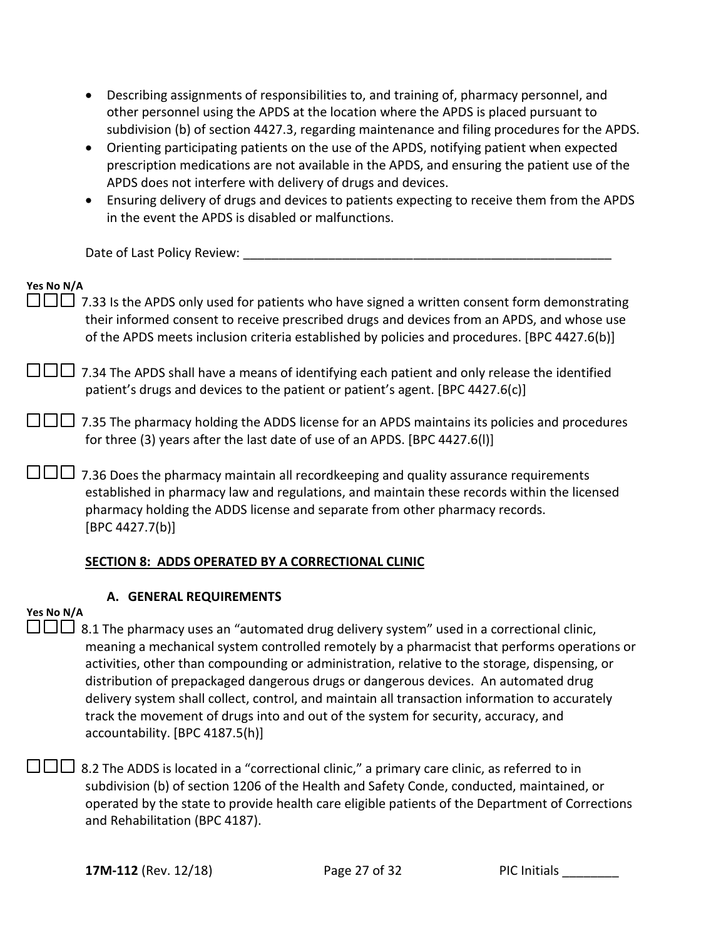- Describing assignments of responsibilities to, and training of, pharmacy personnel, and other personnel using the APDS at the location where the APDS is placed pursuant to subdivision (b) of section 4427.3, regarding maintenance and filing procedures for the APDS.
- Orienting participating patients on the use of the APDS, notifying patient when expected prescription medications are not available in the APDS, and ensuring the patient use of the APDS does not interfere with delivery of drugs and devices.
- Ensuring delivery of drugs and devices to patients expecting to receive them from the APDS in the event the APDS is disabled or malfunctions.

Date of Last Policy Review:

| Yes No N/A<br>□□ 7.33 Is the APDS only used for patients who have signed a written consent form demonstrating<br>their informed consent to receive prescribed drugs and devices from an APDS, and whose use<br>of the APDS meets inclusion criteria established by policies and procedures. [BPC 4427.6(b)] |
|-------------------------------------------------------------------------------------------------------------------------------------------------------------------------------------------------------------------------------------------------------------------------------------------------------------|
| □□□ 7.34 The APDS shall have a means of identifying each patient and only release the identified<br>patient's drugs and devices to the patient or patient's agent. [BPC 4427.6(c)]                                                                                                                          |
| 7.35 The pharmacy holding the ADDS license for an APDS maintains its policies and procedures<br>for three (3) years after the last date of use of an APDS. [BPC 4427.6(I)]                                                                                                                                  |
| 7.36 Does the pharmacy maintain all recordkeeping and quality assurance requirements<br>established in pharmacy law and regulations, and maintain these records within the licensed<br>pharmacy holding the ADDS license and separate from other pharmacy records.<br>[BPC 4427.7(b)]                       |
| <b>SECTION 8: ADDS OPERATED BY A CORRECTIONAL CLINIC</b>                                                                                                                                                                                                                                                    |

### **A. GENERAL REQUIREMENTS**

### **Yes No N/A**

 $\Box$  $\Box$  8.1 The pharmacy uses an "automated drug delivery system" used in a correctional clinic, meaning a mechanical system controlled remotely by a pharmacist that performs operations or activities, other than compounding or administration, relative to the storage, dispensing, or distribution of prepackaged dangerous drugs or dangerous devices. An automated drug delivery system shall collect, control, and maintain all transaction information to accurately track the movement of drugs into and out of the system for security, accuracy, and accountability. [BPC 4187.5(h)]

 $\Box\Box\Box$  8.2 The ADDS is located in a "correctional clinic," a primary care clinic, as referred to in subdivision (b) of section 1206 of the Health and Safety Conde, conducted, maintained, or operated by the state to provide health care eligible patients of the Department of Corrections and Rehabilitation (BPC 4187).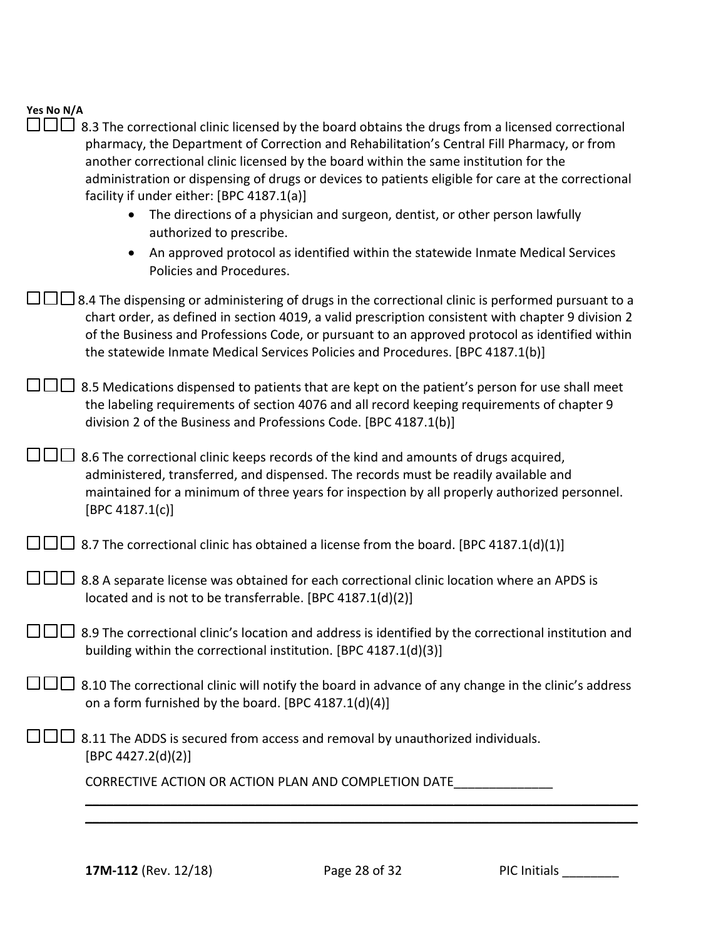## **Yes No N/A**  $\square \square \square$  8.3 The correctional clinic licensed by the board obtains the drugs from a licensed correctional

| another correctional clinic licensed by the board within the same institution for the<br>administration or dispensing of drugs or devices to patients eligible for care at the correctional<br>facility if under either: [BPC 4187.1(a)]<br>The directions of a physician and surgeon, dentist, or other person lawfully<br>$\bullet$<br>authorized to prescribe.<br>An approved protocol as identified within the statewide Inmate Medical Services<br>Policies and Procedures. |
|----------------------------------------------------------------------------------------------------------------------------------------------------------------------------------------------------------------------------------------------------------------------------------------------------------------------------------------------------------------------------------------------------------------------------------------------------------------------------------|
| $\Box$ 8.4 The dispensing or administering of drugs in the correctional clinic is performed pursuant to a<br>chart order, as defined in section 4019, a valid prescription consistent with chapter 9 division 2<br>of the Business and Professions Code, or pursuant to an approved protocol as identified within<br>the statewide Inmate Medical Services Policies and Procedures. [BPC 4187.1(b)]                                                                              |
| 8.5 Medications dispensed to patients that are kept on the patient's person for use shall meet<br>the labeling requirements of section 4076 and all record keeping requirements of chapter 9<br>division 2 of the Business and Professions Code. [BPC 4187.1(b)]                                                                                                                                                                                                                 |
| $\Box$ 8.6 The correctional clinic keeps records of the kind and amounts of drugs acquired,<br>administered, transferred, and dispensed. The records must be readily available and<br>maintained for a minimum of three years for inspection by all properly authorized personnel.<br>[BPC 4187.1(c)]                                                                                                                                                                            |
| $\Box$ 8.7 The correctional clinic has obtained a license from the board. [BPC 4187.1(d)(1)]                                                                                                                                                                                                                                                                                                                                                                                     |
| 8.8 A separate license was obtained for each correctional clinic location where an APDS is<br>located and is not to be transferrable. [BPC 4187.1(d)(2)]                                                                                                                                                                                                                                                                                                                         |
| 8.9 The correctional clinic's location and address is identified by the correctional institution and<br>building within the correctional institution. [BPC 4187.1(d)(3)]                                                                                                                                                                                                                                                                                                         |
| UUU 8.10 The correctional clinic will notify the board in advance of any change in the clinic's address<br>on a form furnished by the board. [BPC 4187.1(d)(4)]                                                                                                                                                                                                                                                                                                                  |
| 8.11 The ADDS is secured from access and removal by unauthorized individuals.<br>[BPC 4427.2(d)(2)]                                                                                                                                                                                                                                                                                                                                                                              |
| CORRECTIVE ACTION OR ACTION PLAN AND COMPLETION DATE                                                                                                                                                                                                                                                                                                                                                                                                                             |
|                                                                                                                                                                                                                                                                                                                                                                                                                                                                                  |

pharmacy, the Department of Correction and Rehabilitation's Central Fill Pharmacy, or from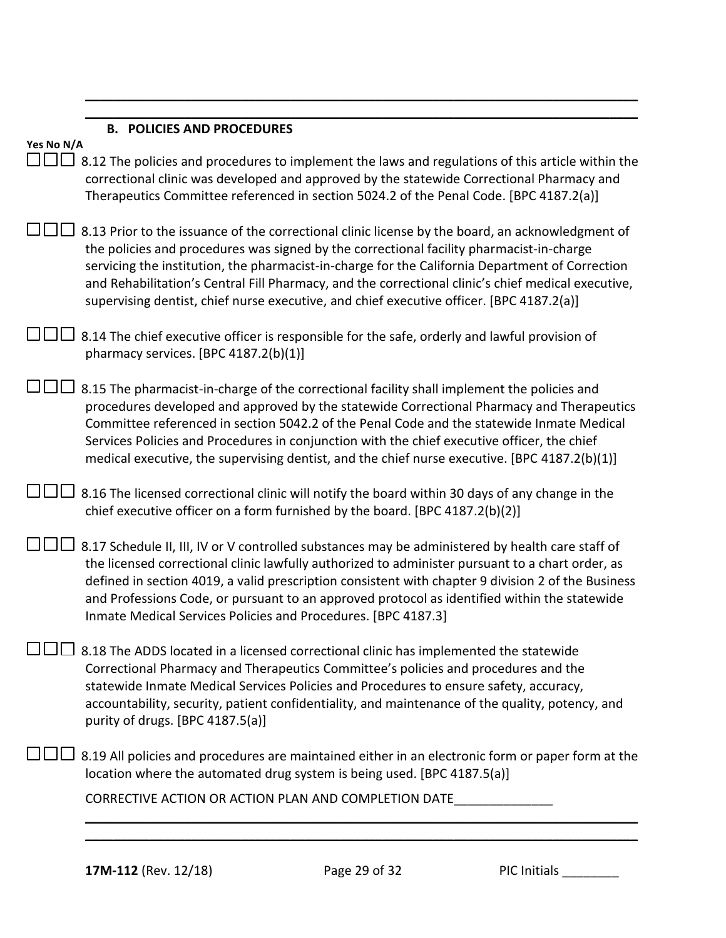|                 | <b>B. POLICIES AND PROCEDURES</b>                                                                                                                                                                                                                                                                                                                                                                                                                                                                 |
|-----------------|---------------------------------------------------------------------------------------------------------------------------------------------------------------------------------------------------------------------------------------------------------------------------------------------------------------------------------------------------------------------------------------------------------------------------------------------------------------------------------------------------|
| Yes No N/A<br>. | 8.12 The policies and procedures to implement the laws and regulations of this article within the<br>correctional clinic was developed and approved by the statewide Correctional Pharmacy and<br>Therapeutics Committee referenced in section 5024.2 of the Penal Code. [BPC 4187.2(a)]                                                                                                                                                                                                          |
|                 | 8.13 Prior to the issuance of the correctional clinic license by the board, an acknowledgment of<br>the policies and procedures was signed by the correctional facility pharmacist-in-charge<br>servicing the institution, the pharmacist-in-charge for the California Department of Correction<br>and Rehabilitation's Central Fill Pharmacy, and the correctional clinic's chief medical executive,<br>supervising dentist, chief nurse executive, and chief executive officer. [BPC 4187.2(a)] |
|                 | 8.14 The chief executive officer is responsible for the safe, orderly and lawful provision of<br>pharmacy services. [BPC 4187.2(b)(1)]                                                                                                                                                                                                                                                                                                                                                            |
|                 | 8.15 The pharmacist-in-charge of the correctional facility shall implement the policies and<br>procedures developed and approved by the statewide Correctional Pharmacy and Therapeutics<br>Committee referenced in section 5042.2 of the Penal Code and the statewide Inmate Medical<br>Services Policies and Procedures in conjunction with the chief executive officer, the chief<br>medical executive, the supervising dentist, and the chief nurse executive. [BPC 4187.2(b)(1)]             |
|                 | 8.16 The licensed correctional clinic will notify the board within 30 days of any change in the<br>chief executive officer on a form furnished by the board. [BPC 4187.2(b)(2)]                                                                                                                                                                                                                                                                                                                   |
|                 | 8.17 Schedule II, III, IV or V controlled substances may be administered by health care staff of<br>the licensed correctional clinic lawfully authorized to administer pursuant to a chart order, as<br>defined in section 4019, a valid prescription consistent with chapter 9 division 2 of the Business<br>and Professions Code, or pursuant to an approved protocol as identified within the statewide<br>Inmate Medical Services Policies and Procedures. [BPC 4187.3]                       |
|                 | 8.18 The ADDS located in a licensed correctional clinic has implemented the statewide<br>Correctional Pharmacy and Therapeutics Committee's policies and procedures and the<br>statewide Inmate Medical Services Policies and Procedures to ensure safety, accuracy,<br>accountability, security, patient confidentiality, and maintenance of the quality, potency, and<br>purity of drugs. [BPC 4187.5(a)]                                                                                       |
|                 | 8.19 All policies and procedures are maintained either in an electronic form or paper form at the<br>location where the automated drug system is being used. [BPC 4187.5(a)]                                                                                                                                                                                                                                                                                                                      |
|                 | CORRECTIVE ACTION OR ACTION PLAN AND COMPLETION DATE                                                                                                                                                                                                                                                                                                                                                                                                                                              |
|                 |                                                                                                                                                                                                                                                                                                                                                                                                                                                                                                   |

\_\_\_\_\_\_\_\_\_\_\_\_\_\_\_\_\_\_\_\_\_\_\_\_\_\_\_\_\_\_\_\_\_\_\_\_\_\_\_\_\_\_\_\_\_\_\_\_\_\_\_\_\_\_\_\_\_\_\_\_\_\_\_\_\_\_\_\_\_\_\_\_\_\_\_\_\_\_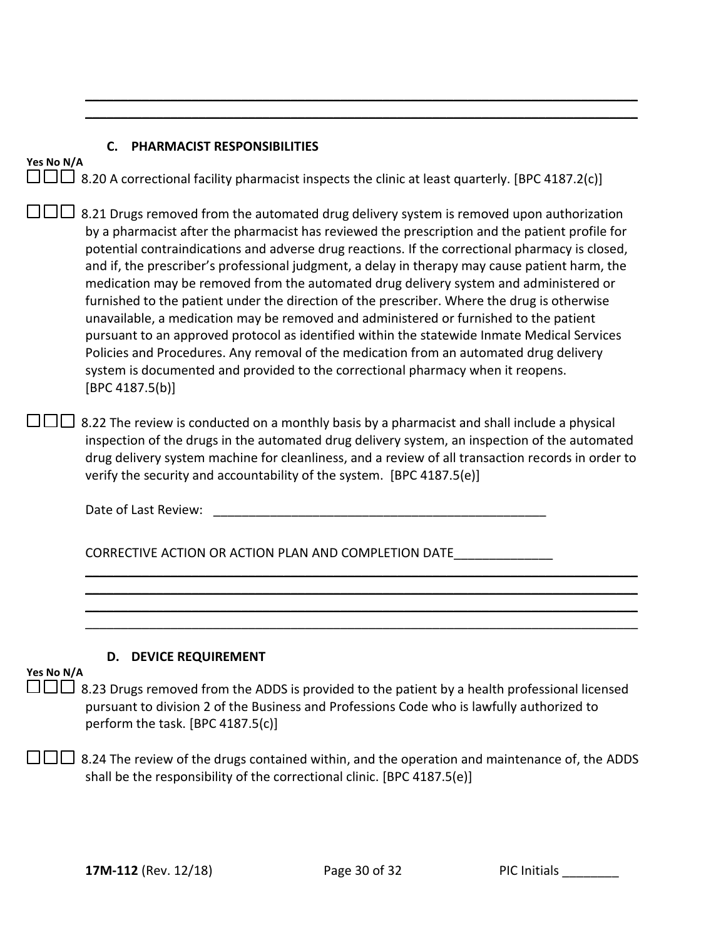### **C. PHARMACIST RESPONSIBILITIES**

|  |  |  |  | $\Box$ $\Box$ 8.20 A correctional facility pharmacist inspects the clinic at least quarterly. [BPC 4187.2(c)] |
|--|--|--|--|---------------------------------------------------------------------------------------------------------------|
|--|--|--|--|---------------------------------------------------------------------------------------------------------------|

\_\_\_\_\_\_\_\_\_\_\_\_\_\_\_\_\_\_\_\_\_\_\_\_\_\_\_\_\_\_\_\_\_\_\_\_\_\_\_\_\_\_\_\_\_\_\_\_\_\_\_\_\_\_\_\_\_\_\_\_\_\_\_\_\_\_\_\_\_\_\_\_\_\_\_\_\_\_ \_\_\_\_\_\_\_\_\_\_\_\_\_\_\_\_\_\_\_\_\_\_\_\_\_\_\_\_\_\_\_\_\_\_\_\_\_\_\_\_\_\_\_\_\_\_\_\_\_\_\_\_\_\_\_\_\_\_\_\_\_\_\_\_\_\_\_\_\_\_\_\_\_\_\_\_\_\_

 $\square \square \square$  8.21 Drugs removed from the automated drug delivery system is removed upon authorization by a pharmacist after the pharmacist has reviewed the prescription and the patient profile for potential contraindications and adverse drug reactions. If the correctional pharmacy is closed, and if, the prescriber's professional judgment, a delay in therapy may cause patient harm, the medication may be removed from the automated drug delivery system and administered or furnished to the patient under the direction of the prescriber. Where the drug is otherwise unavailable, a medication may be removed and administered or furnished to the patient pursuant to an approved protocol as identified within the statewide Inmate Medical Services Policies and Procedures. Any removal of the medication from an automated drug delivery system is documented and provided to the correctional pharmacy when it reopens. [BPC 4187.5(b)]

 $\Box$  $\Box$  8.22 The review is conducted on a monthly basis by a pharmacist and shall include a physical inspection of the drugs in the automated drug delivery system, an inspection of the automated drug delivery system machine for cleanliness, and a review of all transaction records in order to verify the security and accountability of the system. [BPC 4187.5(e)]

Date of Last Review:

CORRECTIVE ACTION OR ACTION PLAN AND COMPLETION DATE

#### **D. DEVICE REQUIREMENT**

### **Yes No N/A**

**Yes No N/A**

 $\Box\Box\Box$  8.23 Drugs removed from the ADDS is provided to the patient by a health professional licensed pursuant to division 2 of the Business and Professions Code who is lawfully authorized to perform the task. [BPC 4187.5(c)]

\_\_\_\_\_\_\_\_\_\_\_\_\_\_\_\_\_\_\_\_\_\_\_\_\_\_\_\_\_\_\_\_\_\_\_\_\_\_\_\_\_\_\_\_\_\_\_\_\_\_\_\_\_\_\_\_\_\_\_\_\_\_\_\_\_\_\_\_\_\_\_\_\_\_\_\_\_\_ \_\_\_\_\_\_\_\_\_\_\_\_\_\_\_\_\_\_\_\_\_\_\_\_\_\_\_\_\_\_\_\_\_\_\_\_\_\_\_\_\_\_\_\_\_\_\_\_\_\_\_\_\_\_\_\_\_\_\_\_\_\_\_\_\_\_\_\_\_\_\_\_\_\_\_\_\_\_ \_\_\_\_\_\_\_\_\_\_\_\_\_\_\_\_\_\_\_\_\_\_\_\_\_\_\_\_\_\_\_\_\_\_\_\_\_\_\_\_\_\_\_\_\_\_\_\_\_\_\_\_\_\_\_\_\_\_\_\_\_\_\_\_\_\_\_\_\_\_\_\_\_\_\_\_\_\_ \_\_\_\_\_\_\_\_\_\_\_\_\_\_\_\_\_\_\_\_\_\_\_\_\_\_\_\_\_\_\_\_\_\_\_\_\_\_\_\_\_\_\_\_\_\_\_\_\_\_\_\_\_\_\_\_\_\_\_\_\_\_\_\_\_\_\_\_\_\_\_\_\_\_\_\_\_\_

 $\Box$  8.24 The review of the drugs contained within, and the operation and maintenance of, the ADDS shall be the responsibility of the correctional clinic. [BPC 4187.5(e)]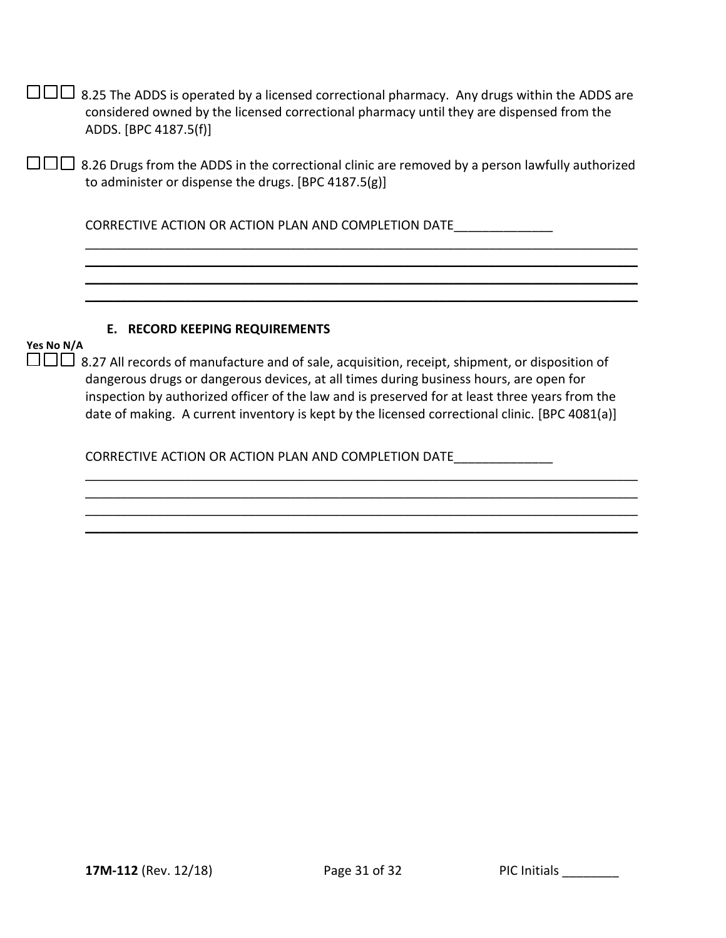|            | 8.25 The ADDS is operated by a licensed correctional pharmacy. Any drugs within the ADDS are<br>considered owned by the licensed correctional pharmacy until they are dispensed from the<br>ADDS. [BPC 4187.5(f)]                                                                                                                                                                            |
|------------|----------------------------------------------------------------------------------------------------------------------------------------------------------------------------------------------------------------------------------------------------------------------------------------------------------------------------------------------------------------------------------------------|
|            | 8.26 Drugs from the ADDS in the correctional clinic are removed by a person lawfully authorized<br>to administer or dispense the drugs. [BPC 4187.5(g)]                                                                                                                                                                                                                                      |
|            | CORRECTIVE ACTION OR ACTION PLAN AND COMPLETION DATE                                                                                                                                                                                                                                                                                                                                         |
|            |                                                                                                                                                                                                                                                                                                                                                                                              |
| Yes No N/A | E. RECORD KEEPING REQUIREMENTS                                                                                                                                                                                                                                                                                                                                                               |
|            | 8.27 All records of manufacture and of sale, acquisition, receipt, shipment, or disposition of<br>dangerous drugs or dangerous devices, at all times during business hours, are open for<br>inspection by authorized officer of the law and is preserved for at least three years from the<br>date of making. A current inventory is kept by the licensed correctional clinic. [BPC 4081(a)] |
|            | CORRECTIVE ACTION OR ACTION PLAN AND COMPLETION DATE                                                                                                                                                                                                                                                                                                                                         |
|            |                                                                                                                                                                                                                                                                                                                                                                                              |